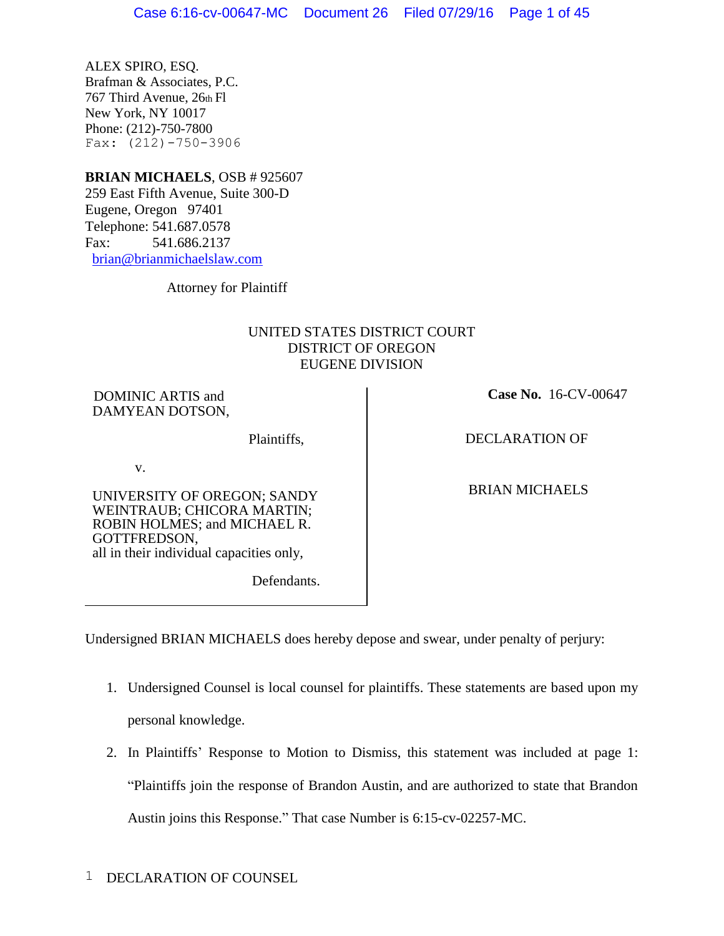ALEX SPIRO, ESQ. Brafman & Associates, P.C. 767 Third Avenue, 26th Fl New York, NY 10017 Phone: (212)-750-7800 Fax: (212)-750-3906

## **BRIAN MICHAELS**, OSB # 925607

259 East Fifth Avenue, Suite 300-D Eugene, Oregon 97401 Telephone: 541.687.0578 Fax: 541.686.2137 [brian@brianmichaelslaw.com](mailto:brian@brianmichaelslaw.com)

Attorney for Plaintiff

## UNITED STATES DISTRICT COURT DISTRICT OF OREGON EUGENE DIVISION

DOMINIC ARTIS and DAMYEAN DOTSON,

Plaintiffs,

v.

UNIVERSITY OF OREGON; SANDY WEINTRAUB; CHICORA MARTIN; ROBIN HOLMES; and MICHAEL R. GOTTFREDSON, all in their individual capacities only,

Defendants.

 **Case No.** 16-CV-00647

DECLARATION OF

BRIAN MICHAELS

Undersigned BRIAN MICHAELS does hereby depose and swear, under penalty of perjury:

- 1. Undersigned Counsel is local counsel for plaintiffs. These statements are based upon my personal knowledge.
- 2. In Plaintiffs' Response to Motion to Dismiss, this statement was included at page 1: "Plaintiffs join the response of Brandon Austin, and are authorized to state that Brandon Austin joins this Response." That case Number is 6:15-cv-02257-MC.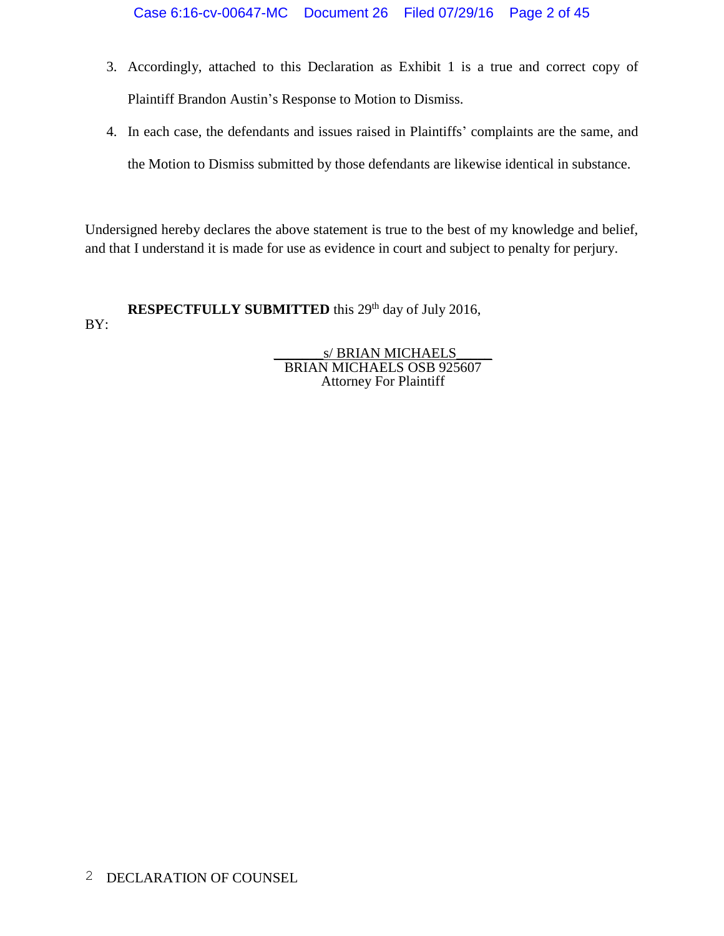- 3. Accordingly, attached to this Declaration as Exhibit 1 is a true and correct copy of Plaintiff Brandon Austin's Response to Motion to Dismiss.
- 4. In each case, the defendants and issues raised in Plaintiffs' complaints are the same, and the Motion to Dismiss submitted by those defendants are likewise identical in substance.

Undersigned hereby declares the above statement is true to the best of my knowledge and belief, and that I understand it is made for use as evidence in court and subject to penalty for perjury.

**RESPECTFULLY SUBMITTED** this 29<sup>th</sup> day of July 2016, BY:

> s/ BRIAN MICHAELS BRIAN MICHAELS OSB 925607 Attorney For Plaintiff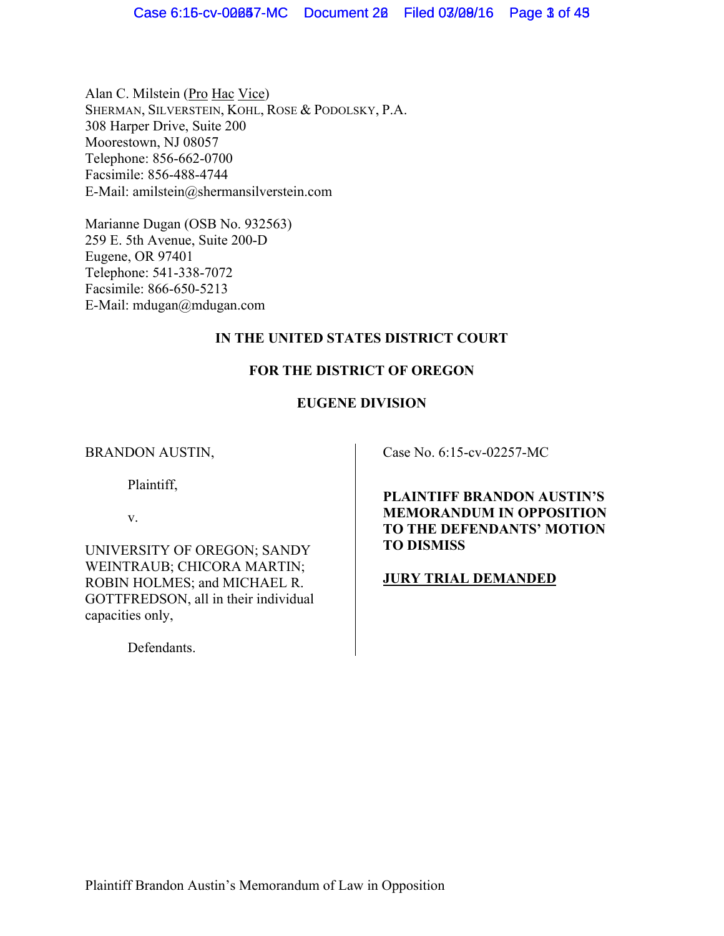Alan C. Milstein (Pro Hac Vice) SHERMAN, SILVERSTEIN, KOHL, ROSE & PODOLSKY, P.A. 308 Harper Drive, Suite 200 Moorestown, NJ 08057 Telephone: 856-662-0700 Facsimile: 856-488-4744 E-Mail: amilstein@shermansilverstein.com

Marianne Dugan (OSB No. 932563) 259 E. 5th Avenue, Suite 200-D Eugene, OR 97401 Telephone: 541-338-7072 Facsimile: 866-650-5213 E-Mail: mdugan@mdugan.com

## **IN THE UNITED STATES DISTRICT COURT**

## **FOR THE DISTRICT OF OREGON**

## **EUGENE DIVISION**

BRANDON AUSTIN,

Plaintiff,

v.

UNIVERSITY OF OREGON; SANDY WEINTRAUB; CHICORA MARTIN; ROBIN HOLMES; and MICHAEL R. GOTTFREDSON, all in their individual capacities only,

Defendants.

Case No. 6:15-cv-02257-MC

**PLAINTIFF BRANDON AUSTIN'S MEMORANDUM IN OPPOSITION TO THE DEFENDANTS' MOTION TO DISMISS**

**JURY TRIAL DEMANDED**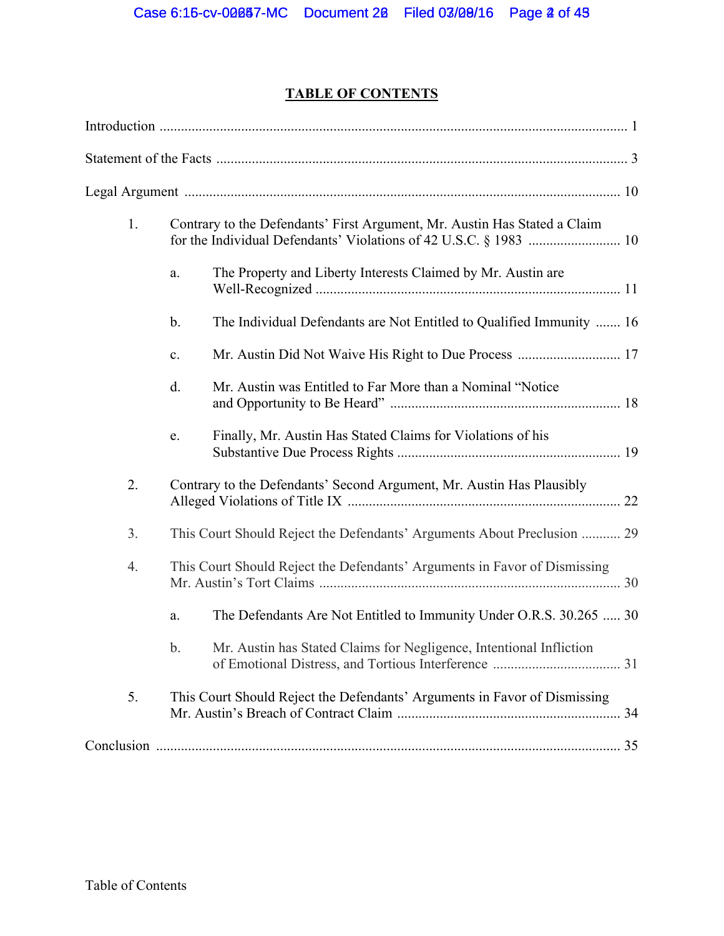# **TABLE OF CONTENTS**

| 1.             |               | Contrary to the Defendants' First Argument, Mr. Austin Has Stated a Claim |  |
|----------------|---------------|---------------------------------------------------------------------------|--|
|                | a.            | The Property and Liberty Interests Claimed by Mr. Austin are              |  |
|                | $\mathbf b$ . | The Individual Defendants are Not Entitled to Qualified Immunity  16      |  |
|                | c.            |                                                                           |  |
|                | d.            | Mr. Austin was Entitled to Far More than a Nominal "Notice"               |  |
|                | e.            | Finally, Mr. Austin Has Stated Claims for Violations of his               |  |
| 2.             |               | Contrary to the Defendants' Second Argument, Mr. Austin Has Plausibly     |  |
| 3 <sub>1</sub> |               | This Court Should Reject the Defendants' Arguments About Preclusion  29   |  |
| 4.             |               | This Court Should Reject the Defendants' Arguments in Favor of Dismissing |  |
|                | a.            | The Defendants Are Not Entitled to Immunity Under O.R.S. 30.265  30       |  |
|                | b.            | Mr. Austin has Stated Claims for Negligence, Intentional Infliction       |  |
| 5.             |               | This Court Should Reject the Defendants' Arguments in Favor of Dismissing |  |
|                |               |                                                                           |  |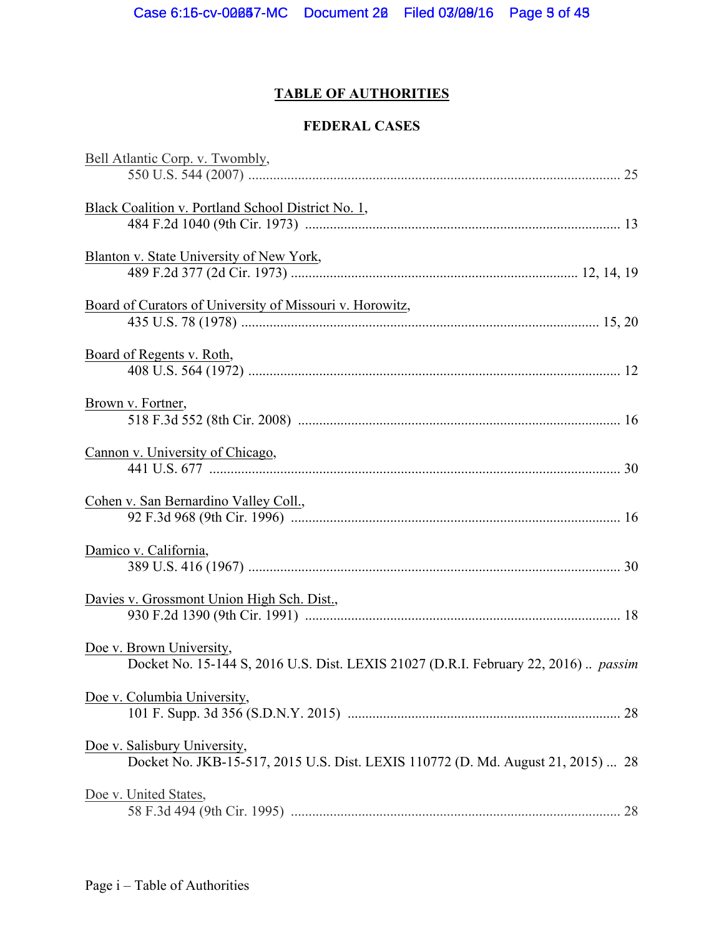# **TABLE OF AUTHORITIES**

## **FEDERAL CASES**

| Bell Atlantic Corp. v. Twombly,                                                                                  |  |
|------------------------------------------------------------------------------------------------------------------|--|
|                                                                                                                  |  |
| Black Coalition v. Portland School District No. 1,                                                               |  |
| Blanton v. State University of New York,                                                                         |  |
| Board of Curators of University of Missouri v. Horowitz,                                                         |  |
| Board of Regents v. Roth,                                                                                        |  |
| Brown v. Fortner,                                                                                                |  |
| Cannon v. University of Chicago,                                                                                 |  |
| Cohen v. San Bernardino Valley Coll.,                                                                            |  |
| Damico v. California,                                                                                            |  |
| Davies v. Grossmont Union High Sch. Dist.,                                                                       |  |
| Doe v. Brown University,<br>Docket No. 15-144 S, 2016 U.S. Dist. LEXIS 21027 (D.R.I. February 22, 2016)  passim  |  |
| Doe v. Columbia University,                                                                                      |  |
| Doe v. Salisbury University,<br>Docket No. JKB-15-517, 2015 U.S. Dist. LEXIS 110772 (D. Md. August 21, 2015)  28 |  |
| Doe v. United States,                                                                                            |  |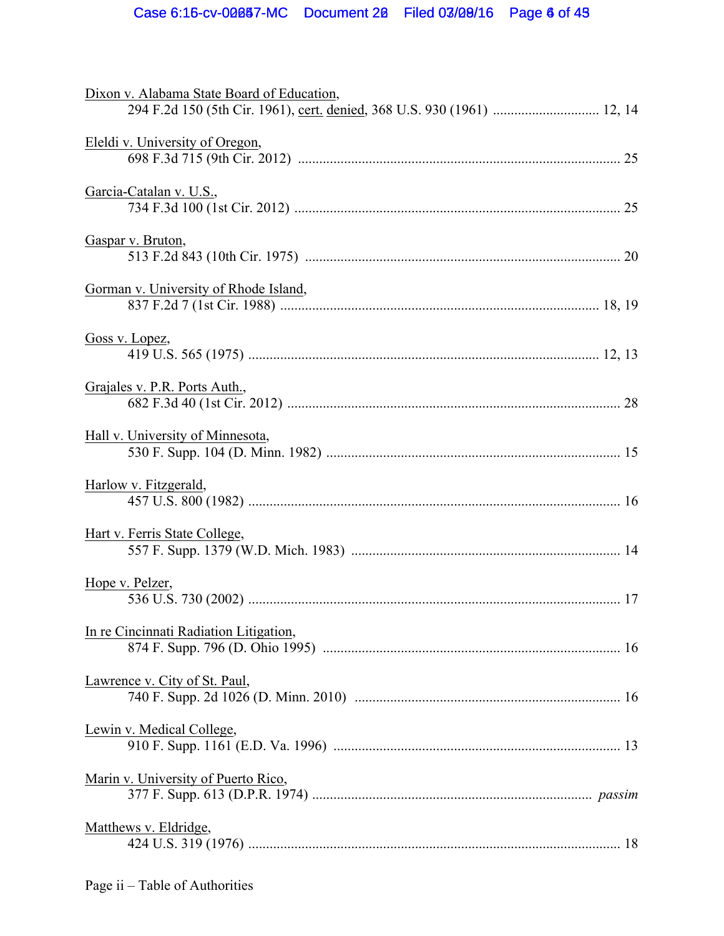| 294 F.2d 150 (5th Cir. 1961), cert. denied, 368 U.S. 930 (1961)  12, 14 |
|-------------------------------------------------------------------------|
|                                                                         |
|                                                                         |
|                                                                         |
|                                                                         |
|                                                                         |
|                                                                         |
|                                                                         |
|                                                                         |
|                                                                         |
|                                                                         |
|                                                                         |
|                                                                         |
|                                                                         |
|                                                                         |
|                                                                         |
|                                                                         |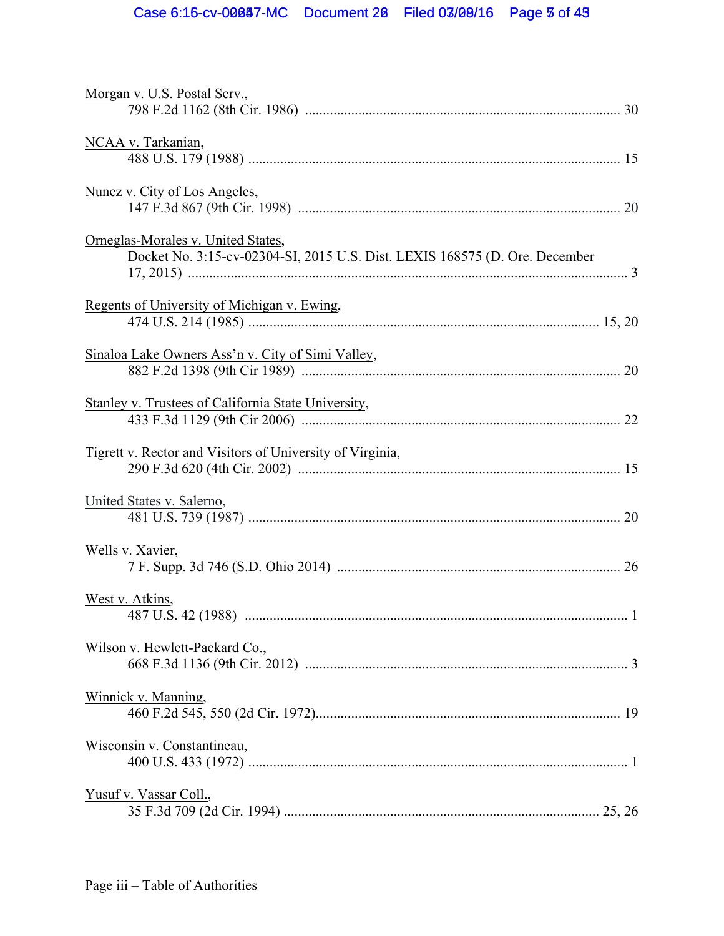| Morgan v. U.S. Postal Serv.,                                                                                      |   |
|-------------------------------------------------------------------------------------------------------------------|---|
| NCAA v. Tarkanian,                                                                                                |   |
|                                                                                                                   |   |
| Nunez v. City of Los Angeles,                                                                                     |   |
| Orneglas-Morales v. United States,<br>Docket No. 3:15-cv-02304-SI, 2015 U.S. Dist. LEXIS 168575 (D. Ore. December |   |
| Regents of University of Michigan v. Ewing,                                                                       |   |
| Sinaloa Lake Owners Ass'n v. City of Simi Valley,                                                                 |   |
| Stanley v. Trustees of California State University,                                                               |   |
| <b>Tigrett v. Rector and Visitors of University of Virginia,</b>                                                  |   |
| United States v. Salerno,                                                                                         |   |
| Wells v. Xavier,                                                                                                  |   |
| West v. Atkins,                                                                                                   | 1 |
| Wilson v. Hewlett-Packard Co.,                                                                                    |   |
| Winnick v. Manning,                                                                                               |   |
| Wisconsin v. Constantineau,                                                                                       |   |
| Yusuf v. Vassar Coll.,                                                                                            |   |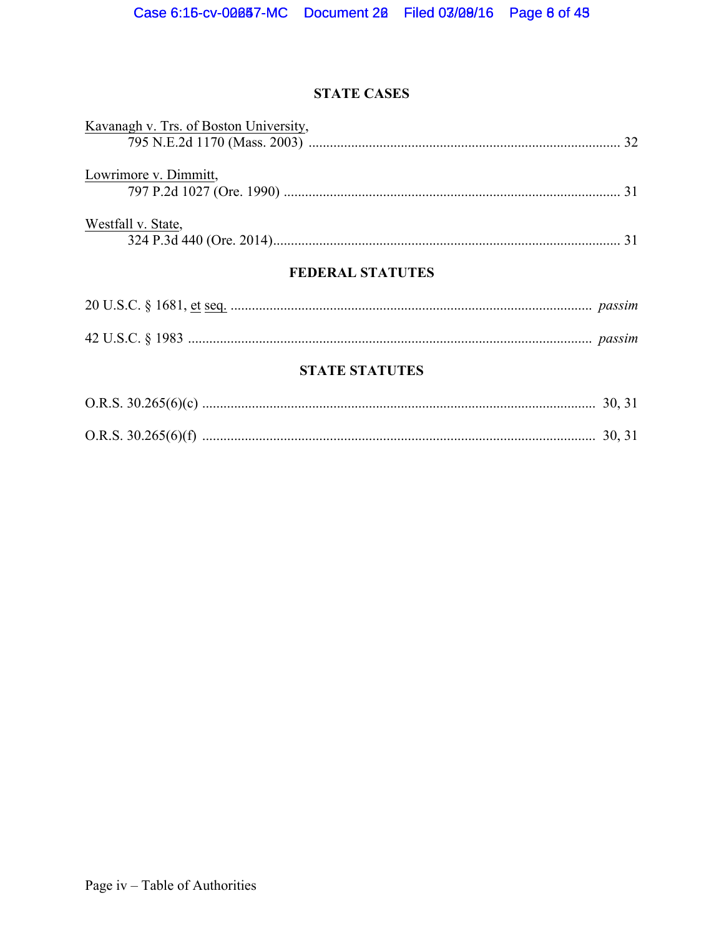## **STATE CASES**

| Kavanagh v. Trs. of Boston University, |  |
|----------------------------------------|--|
|                                        |  |
| Lowrimore v. Dimmitt,                  |  |
|                                        |  |
|                                        |  |
| Westfall v. State,                     |  |
|                                        |  |

## **FEDERAL STATUTES**

## **STATE STATUTES**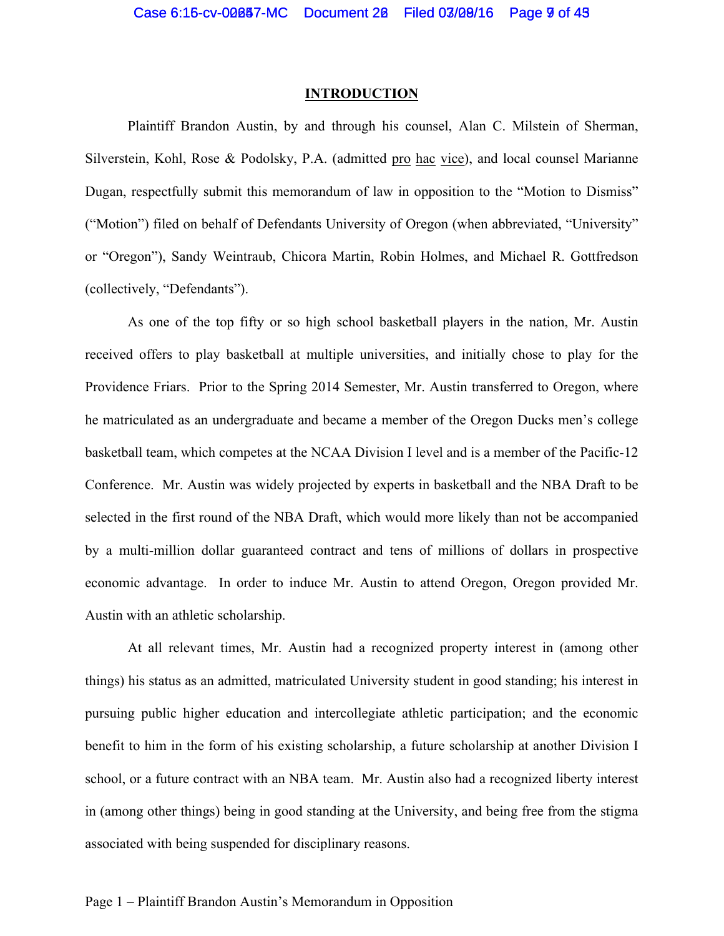#### **INTRODUCTION**

Plaintiff Brandon Austin, by and through his counsel, Alan C. Milstein of Sherman, Silverstein, Kohl, Rose & Podolsky, P.A. (admitted pro hac vice), and local counsel Marianne Dugan, respectfully submit this memorandum of law in opposition to the "Motion to Dismiss" ("Motion") filed on behalf of Defendants University of Oregon (when abbreviated, "University" or "Oregon"), Sandy Weintraub, Chicora Martin, Robin Holmes, and Michael R. Gottfredson (collectively, "Defendants").

As one of the top fifty or so high school basketball players in the nation, Mr. Austin received offers to play basketball at multiple universities, and initially chose to play for the Providence Friars. Prior to the Spring 2014 Semester, Mr. Austin transferred to Oregon, where he matriculated as an undergraduate and became a member of the Oregon Ducks men's college basketball team, which competes at the NCAA Division I level and is a member of the Pacific-12 Conference. Mr. Austin was widely projected by experts in basketball and the NBA Draft to be selected in the first round of the NBA Draft, which would more likely than not be accompanied by a multi-million dollar guaranteed contract and tens of millions of dollars in prospective economic advantage. In order to induce Mr. Austin to attend Oregon, Oregon provided Mr. Austin with an athletic scholarship.

At all relevant times, Mr. Austin had a recognized property interest in (among other things) his status as an admitted, matriculated University student in good standing; his interest in pursuing public higher education and intercollegiate athletic participation; and the economic benefit to him in the form of his existing scholarship, a future scholarship at another Division I school, or a future contract with an NBA team. Mr. Austin also had a recognized liberty interest in (among other things) being in good standing at the University, and being free from the stigma associated with being suspended for disciplinary reasons.

#### Page 1 – Plaintiff Brandon Austin's Memorandum in Opposition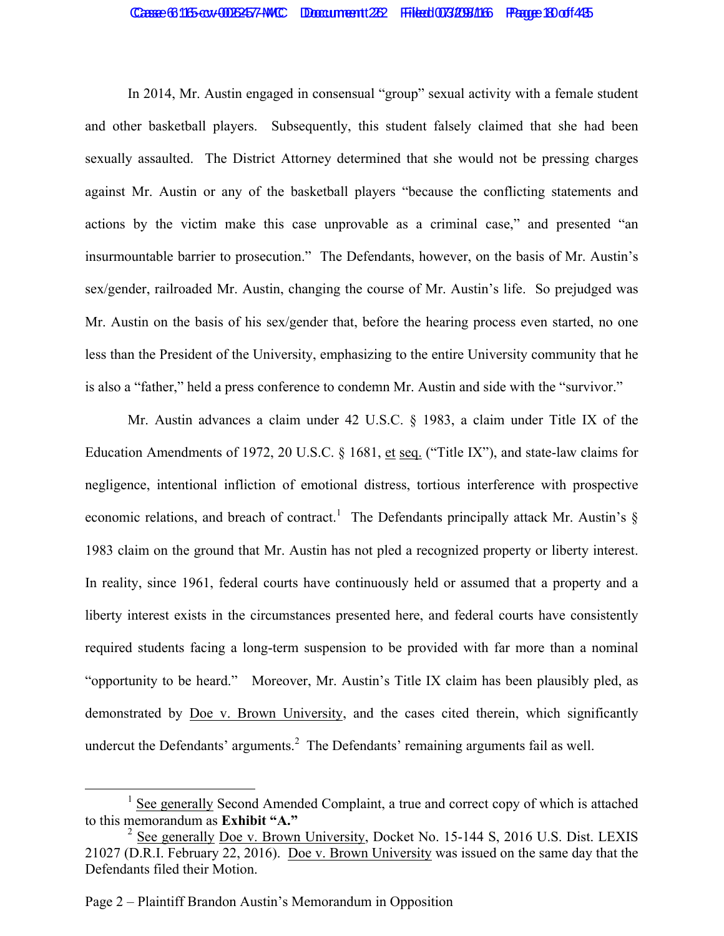#### Casse 6:115-cv-006257-MC Document 22 Filed 073/298/16 Page 19 of 45

In 2014, Mr. Austin engaged in consensual "group" sexual activity with a female student and other basketball players. Subsequently, this student falsely claimed that she had been sexually assaulted. The District Attorney determined that she would not be pressing charges against Mr. Austin or any of the basketball players "because the conflicting statements and actions by the victim make this case unprovable as a criminal case," and presented "an insurmountable barrier to prosecution." The Defendants, however, on the basis of Mr. Austin's sex/gender, railroaded Mr. Austin, changing the course of Mr. Austin's life. So prejudged was Mr. Austin on the basis of his sex/gender that, before the hearing process even started, no one less than the President of the University, emphasizing to the entire University community that he is also a "father," held a press conference to condemn Mr. Austin and side with the "survivor."

Mr. Austin advances a claim under 42 U.S.C. § 1983, a claim under Title IX of the Education Amendments of 1972, 20 U.S.C. § 1681, et seq. ("Title IX"), and state-law claims for negligence, intentional infliction of emotional distress, tortious interference with prospective economic relations, and breach of contract.<sup>1</sup> The Defendants principally attack Mr. Austin's  $\S$ 1983 claim on the ground that Mr. Austin has not pled a recognized property or liberty interest. In reality, since 1961, federal courts have continuously held or assumed that a property and a liberty interest exists in the circumstances presented here, and federal courts have consistently required students facing a long-term suspension to be provided with far more than a nominal "opportunity to be heard." Moreover, Mr. Austin's Title IX claim has been plausibly pled, as demonstrated by Doe v. Brown University, and the cases cited therein, which significantly undercut the Defendants' arguments.<sup>2</sup> The Defendants' remaining arguments fail as well.

 $<sup>1</sup>$  See generally Second Amended Complaint, a true and correct copy of which is attached</sup> to this memorandum as **Exhibit "A."**

<sup>&</sup>lt;sup>2</sup> See generally Doe v. Brown University, Docket No. 15-144 S, 2016 U.S. Dist. LEXIS 21027 (D.R.I. February 22, 2016). Doe v. Brown University was issued on the same day that the Defendants filed their Motion.

Page 2 – Plaintiff Brandon Austin's Memorandum in Opposition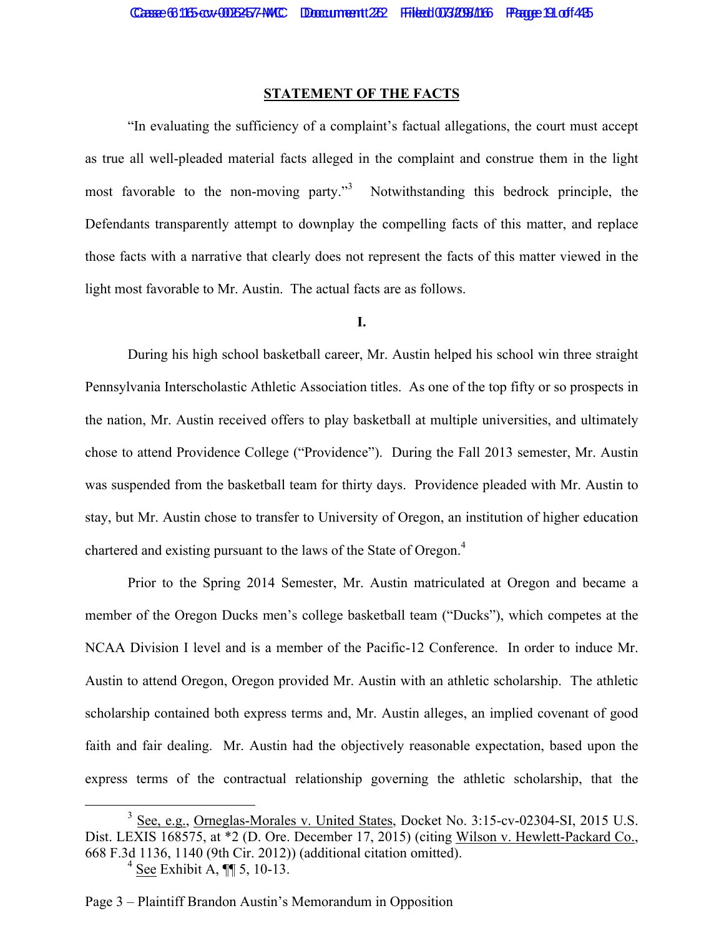#### **STATEMENT OF THE FACTS**

"In evaluating the sufficiency of a complaint's factual allegations, the court must accept as true all well-pleaded material facts alleged in the complaint and construe them in the light most favorable to the non-moving party."<sup>3</sup> Notwithstanding this bedrock principle, the Defendants transparently attempt to downplay the compelling facts of this matter, and replace those facts with a narrative that clearly does not represent the facts of this matter viewed in the light most favorable to Mr. Austin. The actual facts are as follows.

#### **I.**

During his high school basketball career, Mr. Austin helped his school win three straight Pennsylvania Interscholastic Athletic Association titles. As one of the top fifty or so prospects in the nation, Mr. Austin received offers to play basketball at multiple universities, and ultimately chose to attend Providence College ("Providence"). During the Fall 2013 semester, Mr. Austin was suspended from the basketball team for thirty days. Providence pleaded with Mr. Austin to stay, but Mr. Austin chose to transfer to University of Oregon, an institution of higher education chartered and existing pursuant to the laws of the State of Oregon.<sup>4</sup>

Prior to the Spring 2014 Semester, Mr. Austin matriculated at Oregon and became a member of the Oregon Ducks men's college basketball team ("Ducks"), which competes at the NCAA Division I level and is a member of the Pacific-12 Conference. In order to induce Mr. Austin to attend Oregon, Oregon provided Mr. Austin with an athletic scholarship. The athletic scholarship contained both express terms and, Mr. Austin alleges, an implied covenant of good faith and fair dealing. Mr. Austin had the objectively reasonable expectation, based upon the express terms of the contractual relationship governing the athletic scholarship, that the

<sup>&</sup>lt;sup>3</sup> See, e.g., Orneglas-Morales v. United States, Docket No. 3:15-cv-02304-SI, 2015 U.S. Dist. LEXIS 168575, at \*2 (D. Ore. December 17, 2015) (citing Wilson v. Hewlett-Packard Co., 668 F.3d 1136, 1140 (9th Cir. 2012)) (additional citation omitted).

 $4$  See Exhibit A,  $\P\P$  5, 10-13.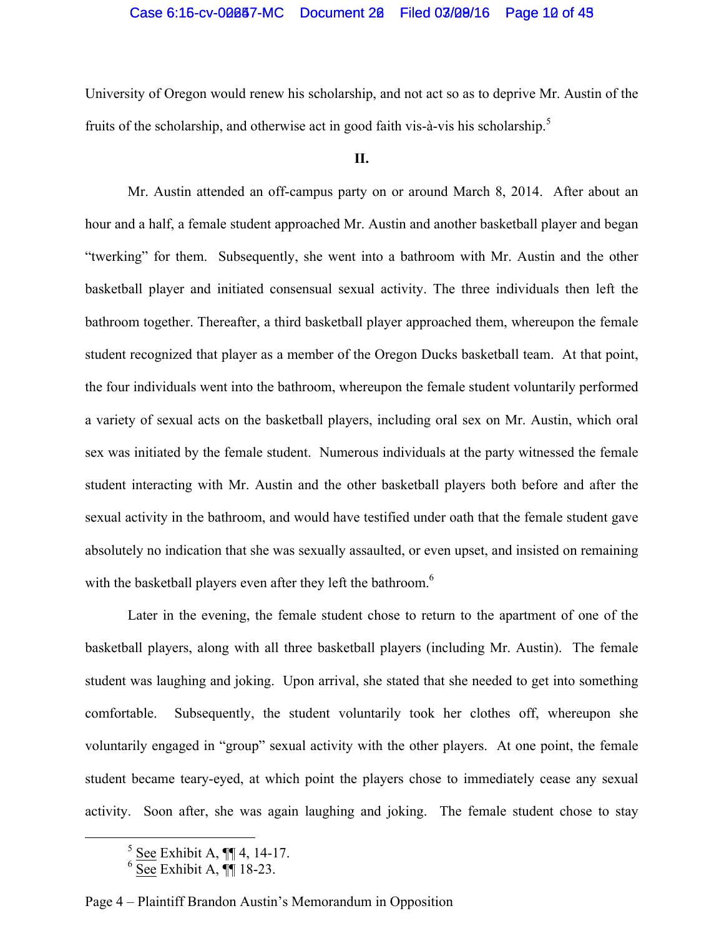## Case 6:15-cv-00087-MC Document 20 Filed 03/09/16 Page 10 of 43

University of Oregon would renew his scholarship, and not act so as to deprive Mr. Austin of the fruits of the scholarship, and otherwise act in good faith vis-à-vis his scholarship.<sup>5</sup>

#### **II.**

Mr. Austin attended an off-campus party on or around March 8, 2014. After about an hour and a half, a female student approached Mr. Austin and another basketball player and began "twerking" for them. Subsequently, she went into a bathroom with Mr. Austin and the other basketball player and initiated consensual sexual activity. The three individuals then left the bathroom together. Thereafter, a third basketball player approached them, whereupon the female student recognized that player as a member of the Oregon Ducks basketball team. At that point, the four individuals went into the bathroom, whereupon the female student voluntarily performed a variety of sexual acts on the basketball players, including oral sex on Mr. Austin, which oral sex was initiated by the female student. Numerous individuals at the party witnessed the female student interacting with Mr. Austin and the other basketball players both before and after the sexual activity in the bathroom, and would have testified under oath that the female student gave absolutely no indication that she was sexually assaulted, or even upset, and insisted on remaining with the basketball players even after they left the bathroom.<sup>6</sup>

Later in the evening, the female student chose to return to the apartment of one of the basketball players, along with all three basketball players (including Mr. Austin). The female student was laughing and joking. Upon arrival, she stated that she needed to get into something comfortable. Subsequently, the student voluntarily took her clothes off, whereupon she voluntarily engaged in "group" sexual activity with the other players. At one point, the female student became teary-eyed, at which point the players chose to immediately cease any sexual activity. Soon after, she was again laughing and joking. The female student chose to stay

Page 4 – Plaintiff Brandon Austin's Memorandum in Opposition

 $\frac{5 \text{ See Exhibit A, } \text{N}}{14-17}.$ 

 $6 \overline{\text{See}}$  Exhibit A,  $\P$  18-23.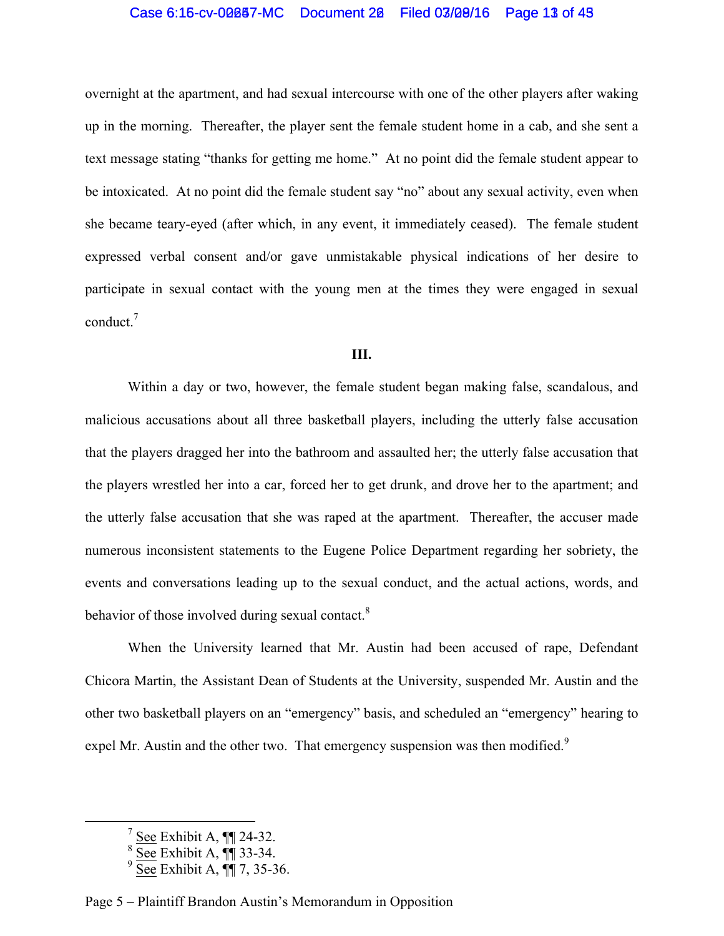## Case 6:15-cv-00087-MC Document 20 Filed 03/09/16 Page 13 of 49

overnight at the apartment, and had sexual intercourse with one of the other players after waking up in the morning. Thereafter, the player sent the female student home in a cab, and she sent a text message stating "thanks for getting me home." At no point did the female student appear to be intoxicated. At no point did the female student say "no" about any sexual activity, even when she became teary-eyed (after which, in any event, it immediately ceased). The female student expressed verbal consent and/or gave unmistakable physical indications of her desire to participate in sexual contact with the young men at the times they were engaged in sexual conduct.<sup>7</sup>

#### **III.**

Within a day or two, however, the female student began making false, scandalous, and malicious accusations about all three basketball players, including the utterly false accusation that the players dragged her into the bathroom and assaulted her; the utterly false accusation that the players wrestled her into a car, forced her to get drunk, and drove her to the apartment; and the utterly false accusation that she was raped at the apartment. Thereafter, the accuser made numerous inconsistent statements to the Eugene Police Department regarding her sobriety, the events and conversations leading up to the sexual conduct, and the actual actions, words, and behavior of those involved during sexual contact.<sup>8</sup>

When the University learned that Mr. Austin had been accused of rape, Defendant Chicora Martin, the Assistant Dean of Students at the University, suspended Mr. Austin and the other two basketball players on an "emergency" basis, and scheduled an "emergency" hearing to expel Mr. Austin and the other two. That emergency suspension was then modified.<sup>9</sup>

Page 5 – Plaintiff Brandon Austin's Memorandum in Opposition

 $\frac{7}{2}$  See Exhibit A,  $\P$  24-32.

 $8 \overline{\text{See}}$  Exhibit A,  $\P$  33-34.

 $9 \overline{\text{See}}$  Exhibit A,  $\P$ , 7, 35-36.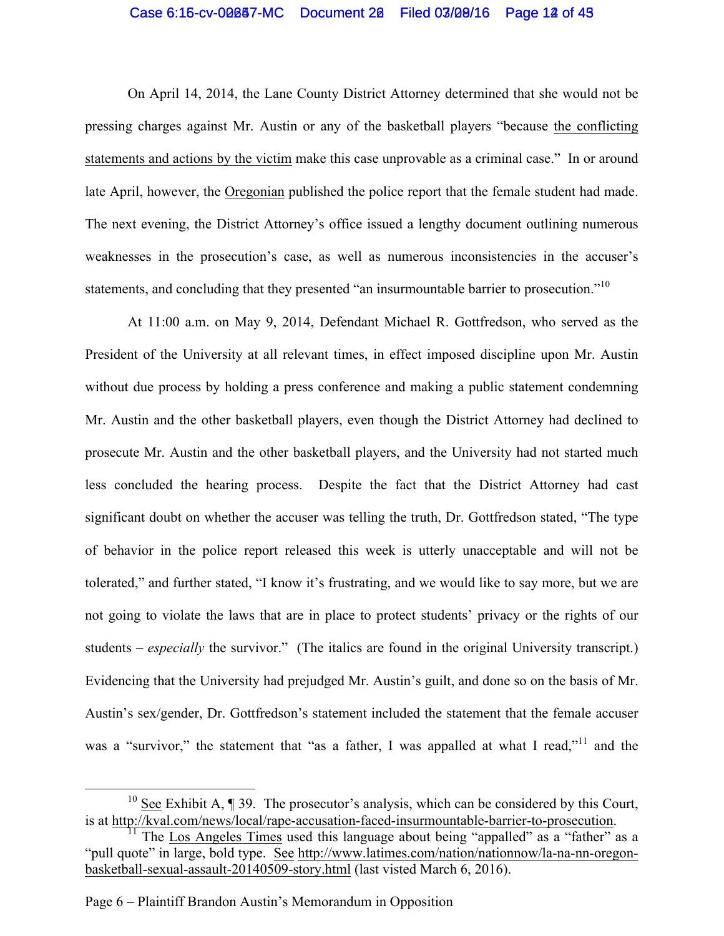## Case 6:15-cv-00087-MC Document 20 Filed 03/09/16 Page 12 of 43

On April 14, 2014, the Lane County District Attorney determined that she would not be pressing charges against Mr. Austin or any of the basketball players "because the conflicting statements and actions by the victim make this case unprovable as a criminal case." In or around late April, however, the Oregonian published the police report that the female student had made. The next evening, the District Attorney's office issued a lengthy document outlining numerous weaknesses in the prosecution's case, as well as numerous inconsistencies in the accuser's statements, and concluding that they presented "an insurmountable barrier to prosecution."<sup>10</sup>

At 11:00 a.m. on May 9, 2014, Defendant Michael R. Gottfredson, who served as the President of the University at all relevant times, in effect imposed discipline upon Mr. Austin without due process by holding a press conference and making a public statement condemning Mr. Austin and the other basketball players, even though the District Attorney had declined to prosecute Mr. Austin and the other basketball players, and the University had not started much less concluded the hearing process. Despite the fact that the District Attorney had cast significant doubt on whether the accuser was telling the truth, Dr. Gottfredson stated, "The type of behavior in the police report released this week is utterly unacceptable and will not be tolerated," and further stated, "I know it's frustrating, and we would like to say more, but we are not going to violate the laws that are in place to protect students' privacy or the rights of our students – *especially* the survivor." (The italics are found in the original University transcript.) Evidencing that the University had prejudged Mr. Austin's guilt, and done so on the basis of Mr. Austin's sex/gender, Dr. Gottfredson's statement included the statement that the female accuser was a "survivor," the statement that "as a father, I was appalled at what I read,"<sup>11</sup> and the

<sup>&</sup>lt;sup>10</sup> See Exhibit A,  $\P$  39. The prosecutor's analysis, which can be considered by this Court, is at http://kval.com/news/local/rape-accusation-faced-insurmountable-barrier-to-prosecution.

<sup>&</sup>lt;sup>1</sup> The Los Angeles Times used this language about being "appalled" as a "father" as a "pull quote" in large, bold type. See http://www.latimes.com/nation/nationnow/la-na-nn-oregonbasketball-sexual-assault-20140509-story.html (last visted March 6, 2016).

Page 6 – Plaintiff Brandon Austin's Memorandum in Opposition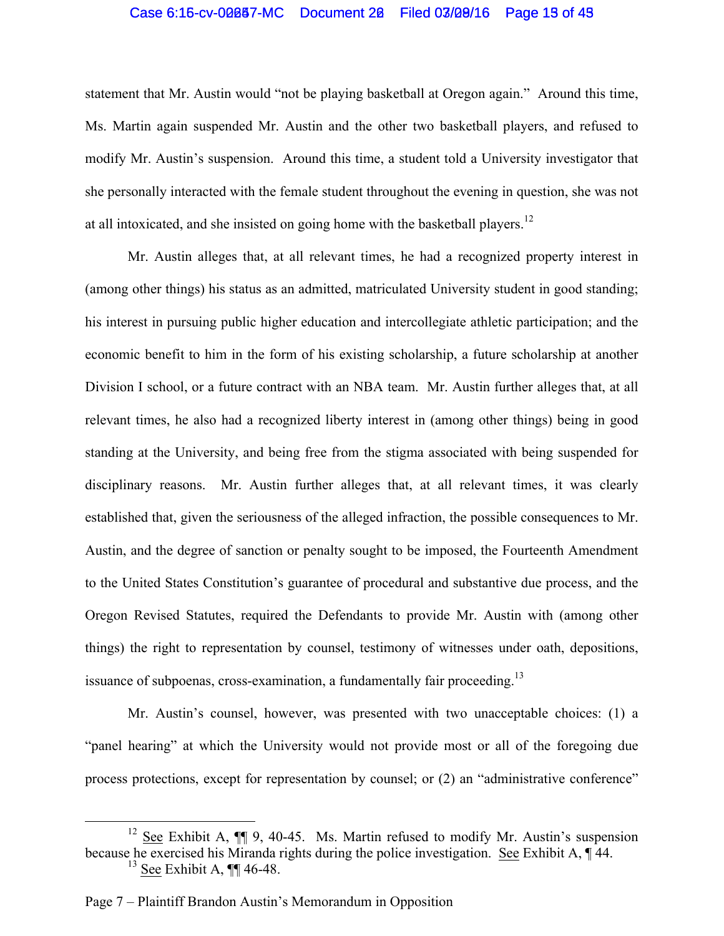## Case 6:15-cv-00087-MC Document 20 Filed 03/09/16 Page 13 of 43

statement that Mr. Austin would "not be playing basketball at Oregon again." Around this time, Ms. Martin again suspended Mr. Austin and the other two basketball players, and refused to modify Mr. Austin's suspension. Around this time, a student told a University investigator that she personally interacted with the female student throughout the evening in question, she was not at all intoxicated, and she insisted on going home with the basketball players.<sup>12</sup>

Mr. Austin alleges that, at all relevant times, he had a recognized property interest in (among other things) his status as an admitted, matriculated University student in good standing; his interest in pursuing public higher education and intercollegiate athletic participation; and the economic benefit to him in the form of his existing scholarship, a future scholarship at another Division I school, or a future contract with an NBA team. Mr. Austin further alleges that, at all relevant times, he also had a recognized liberty interest in (among other things) being in good standing at the University, and being free from the stigma associated with being suspended for disciplinary reasons. Mr. Austin further alleges that, at all relevant times, it was clearly established that, given the seriousness of the alleged infraction, the possible consequences to Mr. Austin, and the degree of sanction or penalty sought to be imposed, the Fourteenth Amendment to the United States Constitution's guarantee of procedural and substantive due process, and the Oregon Revised Statutes, required the Defendants to provide Mr. Austin with (among other things) the right to representation by counsel, testimony of witnesses under oath, depositions, issuance of subpoenas, cross-examination, a fundamentally fair proceeding.<sup>13</sup>

Mr. Austin's counsel, however, was presented with two unacceptable choices: (1) a "panel hearing" at which the University would not provide most or all of the foregoing due process protections, except for representation by counsel; or (2) an "administrative conference"

 $12$  See Exhibit A,  $\P$  9, 40-45. Ms. Martin refused to modify Mr. Austin's suspension because he exercised his Miranda rights during the police investigation. See Exhibit A, 144.  $13$  See Exhibit A,  $\P\P$  46-48.

Page 7 – Plaintiff Brandon Austin's Memorandum in Opposition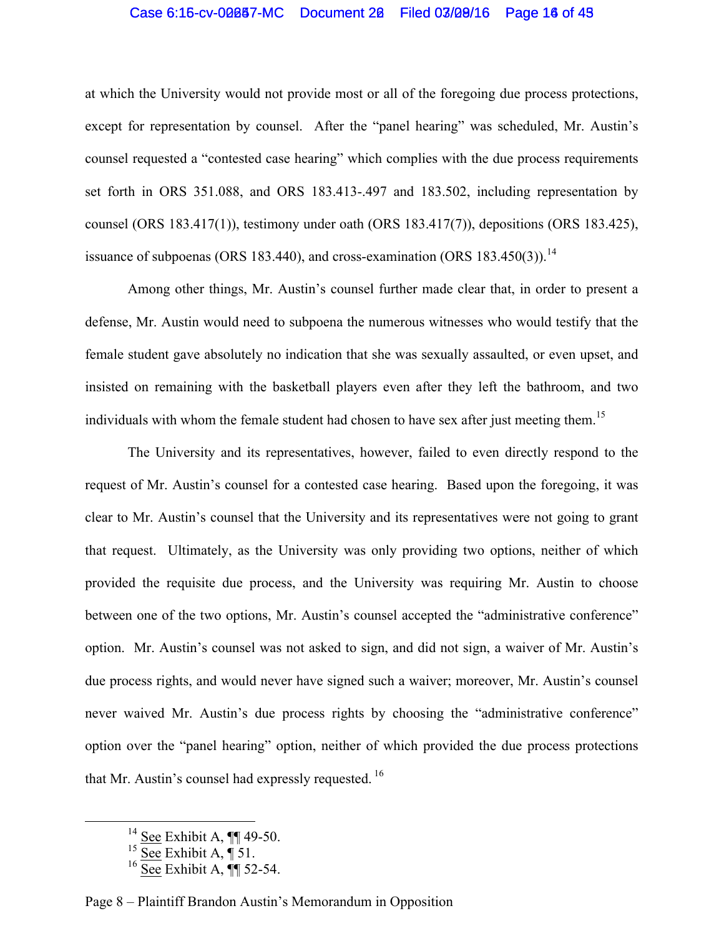## Case 6:15-cv-00087-MC Document 20 Filed 03/09/16 Page 16 of 49

at which the University would not provide most or all of the foregoing due process protections, except for representation by counsel. After the "panel hearing" was scheduled, Mr. Austin's counsel requested a "contested case hearing" which complies with the due process requirements set forth in ORS 351.088, and ORS 183.413-.497 and 183.502, including representation by counsel (ORS 183.417(1)), testimony under oath (ORS 183.417(7)), depositions (ORS 183.425), issuance of subpoenas (ORS 183.440), and cross-examination (ORS 183.450(3)).<sup>14</sup>

Among other things, Mr. Austin's counsel further made clear that, in order to present a defense, Mr. Austin would need to subpoena the numerous witnesses who would testify that the female student gave absolutely no indication that she was sexually assaulted, or even upset, and insisted on remaining with the basketball players even after they left the bathroom, and two individuals with whom the female student had chosen to have sex after just meeting them.<sup>15</sup>

The University and its representatives, however, failed to even directly respond to the request of Mr. Austin's counsel for a contested case hearing. Based upon the foregoing, it was clear to Mr. Austin's counsel that the University and its representatives were not going to grant that request. Ultimately, as the University was only providing two options, neither of which provided the requisite due process, and the University was requiring Mr. Austin to choose between one of the two options, Mr. Austin's counsel accepted the "administrative conference" option. Mr. Austin's counsel was not asked to sign, and did not sign, a waiver of Mr. Austin's due process rights, and would never have signed such a waiver; moreover, Mr. Austin's counsel never waived Mr. Austin's due process rights by choosing the "administrative conference" option over the "panel hearing" option, neither of which provided the due process protections that Mr. Austin's counsel had expressly requested.<sup>16</sup>

 $\frac{14 \text{ See Exhibit A}}{14 \text{ See Exhibit A}}$ 

<sup>&</sup>lt;sup>15</sup> See Exhibit A,  $\P$  51.

 $^{16}$  See Exhibit A,  $\P\P$  52-54.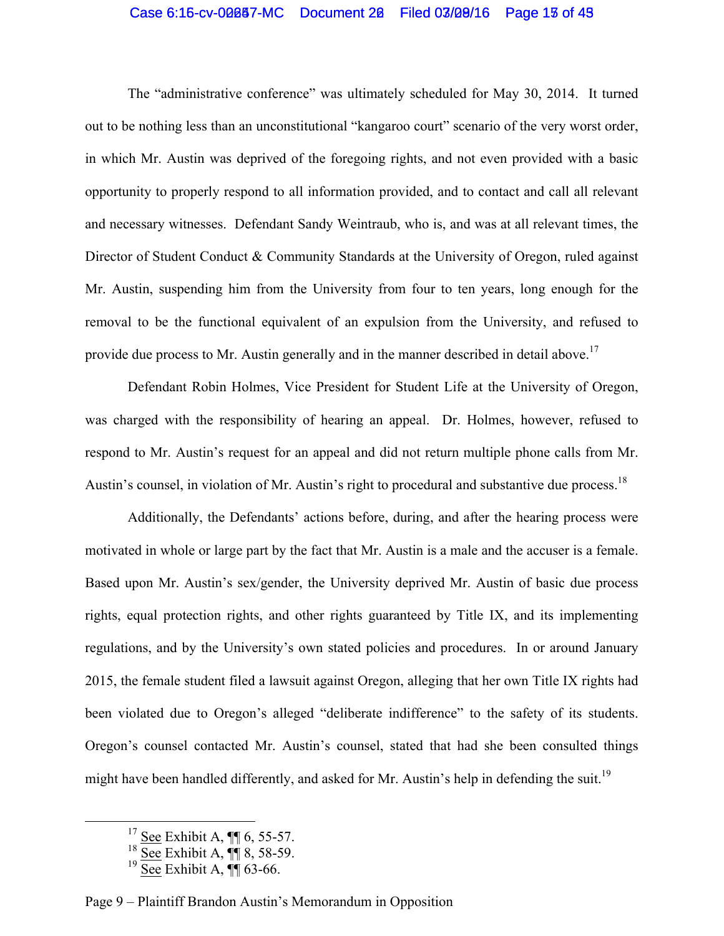## Case 6:15-cv-00087-MC Document 20 Filed 03/09/16 Page 13 of 43

The "administrative conference" was ultimately scheduled for May 30, 2014. It turned out to be nothing less than an unconstitutional "kangaroo court" scenario of the very worst order, in which Mr. Austin was deprived of the foregoing rights, and not even provided with a basic opportunity to properly respond to all information provided, and to contact and call all relevant and necessary witnesses. Defendant Sandy Weintraub, who is, and was at all relevant times, the Director of Student Conduct & Community Standards at the University of Oregon, ruled against Mr. Austin, suspending him from the University from four to ten years, long enough for the removal to be the functional equivalent of an expulsion from the University, and refused to provide due process to Mr. Austin generally and in the manner described in detail above.<sup>17</sup>

Defendant Robin Holmes, Vice President for Student Life at the University of Oregon, was charged with the responsibility of hearing an appeal. Dr. Holmes, however, refused to respond to Mr. Austin's request for an appeal and did not return multiple phone calls from Mr. Austin's counsel, in violation of Mr. Austin's right to procedural and substantive due process.<sup>18</sup>

Additionally, the Defendants' actions before, during, and after the hearing process were motivated in whole or large part by the fact that Mr. Austin is a male and the accuser is a female. Based upon Mr. Austin's sex/gender, the University deprived Mr. Austin of basic due process rights, equal protection rights, and other rights guaranteed by Title IX, and its implementing regulations, and by the University's own stated policies and procedures. In or around January 2015, the female student filed a lawsuit against Oregon, alleging that her own Title IX rights had been violated due to Oregon's alleged "deliberate indifference" to the safety of its students. Oregon's counsel contacted Mr. Austin's counsel, stated that had she been consulted things might have been handled differently, and asked for Mr. Austin's help in defending the suit.<sup>19</sup>

#### Page 9 – Plaintiff Brandon Austin's Memorandum in Opposition

 $\frac{17}{2}$  See Exhibit A, ¶ 6, 55-57.

 $18 \overline{\text{See}}$  Exhibit A,  $\P\P$  8, 58-59.

 $19 \overline{\text{See}}$  Exhibit A,  $\P\P$  63-66.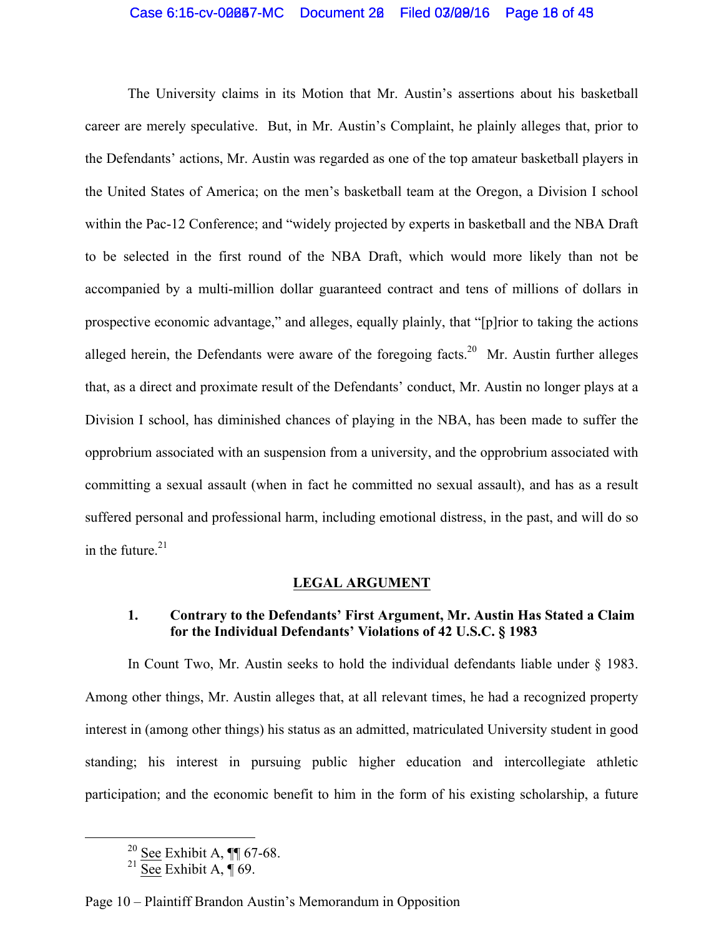## Case 6:15-cv-00087-MC Document 20 Filed 03/09/16 Page 18 of 49

The University claims in its Motion that Mr. Austin's assertions about his basketball career are merely speculative. But, in Mr. Austin's Complaint, he plainly alleges that, prior to the Defendants' actions, Mr. Austin was regarded as one of the top amateur basketball players in the United States of America; on the men's basketball team at the Oregon, a Division I school within the Pac-12 Conference; and "widely projected by experts in basketball and the NBA Draft to be selected in the first round of the NBA Draft, which would more likely than not be accompanied by a multi-million dollar guaranteed contract and tens of millions of dollars in prospective economic advantage," and alleges, equally plainly, that "[p]rior to taking the actions alleged herein, the Defendants were aware of the foregoing facts.<sup>20</sup> Mr. Austin further alleges that, as a direct and proximate result of the Defendants' conduct, Mr. Austin no longer plays at a Division I school, has diminished chances of playing in the NBA, has been made to suffer the opprobrium associated with an suspension from a university, and the opprobrium associated with committing a sexual assault (when in fact he committed no sexual assault), and has as a result suffered personal and professional harm, including emotional distress, in the past, and will do so in the future. 21

#### **LEGAL ARGUMENT**

## **1. Contrary to the Defendants' First Argument, Mr. Austin Has Stated a Claim for the Individual Defendants' Violations of 42 U.S.C. § 1983**

In Count Two, Mr. Austin seeks to hold the individual defendants liable under § 1983. Among other things, Mr. Austin alleges that, at all relevant times, he had a recognized property interest in (among other things) his status as an admitted, matriculated University student in good standing; his interest in pursuing public higher education and intercollegiate athletic participation; and the economic benefit to him in the form of his existing scholarship, a future

 $\frac{20 \text{ See Exhibit A}}{100 \text{ GeV}}$ 

 $21$  See Exhibit A, ¶ 69.

Page 10 – Plaintiff Brandon Austin's Memorandum in Opposition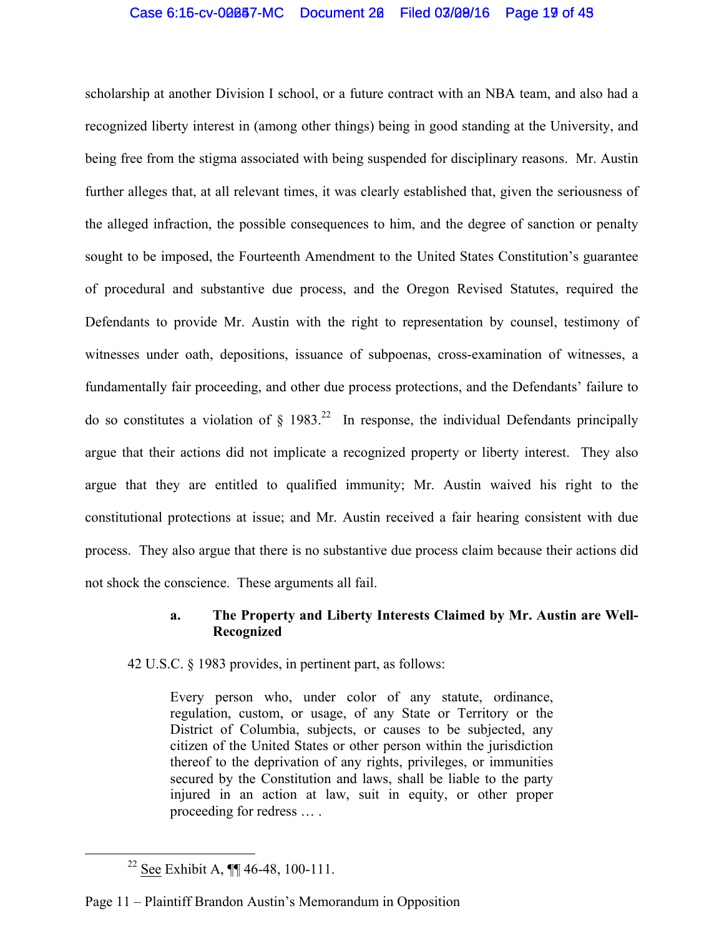## Case 6:15-cv-00087-MC Document 20 Filed 03/09/16 Page 19 of 48

scholarship at another Division I school, or a future contract with an NBA team, and also had a recognized liberty interest in (among other things) being in good standing at the University, and being free from the stigma associated with being suspended for disciplinary reasons. Mr. Austin further alleges that, at all relevant times, it was clearly established that, given the seriousness of the alleged infraction, the possible consequences to him, and the degree of sanction or penalty sought to be imposed, the Fourteenth Amendment to the United States Constitution's guarantee of procedural and substantive due process, and the Oregon Revised Statutes, required the Defendants to provide Mr. Austin with the right to representation by counsel, testimony of witnesses under oath, depositions, issuance of subpoenas, cross-examination of witnesses, a fundamentally fair proceeding, and other due process protections, and the Defendants' failure to do so constitutes a violation of  $\S$  1983.<sup>22</sup> In response, the individual Defendants principally argue that their actions did not implicate a recognized property or liberty interest. They also argue that they are entitled to qualified immunity; Mr. Austin waived his right to the constitutional protections at issue; and Mr. Austin received a fair hearing consistent with due process. They also argue that there is no substantive due process claim because their actions did not shock the conscience. These arguments all fail.

### **a. The Property and Liberty Interests Claimed by Mr. Austin are Well-Recognized**

42 U.S.C. § 1983 provides, in pertinent part, as follows:

Every person who, under color of any statute, ordinance, regulation, custom, or usage, of any State or Territory or the District of Columbia, subjects, or causes to be subjected, any citizen of the United States or other person within the jurisdiction thereof to the deprivation of any rights, privileges, or immunities secured by the Constitution and laws, shall be liable to the party injured in an action at law, suit in equity, or other proper proceeding for redress … .

## Page 11 – Plaintiff Brandon Austin's Memorandum in Opposition

<sup>&</sup>lt;sup>22</sup> See Exhibit A,  $\P\P$  46-48, 100-111.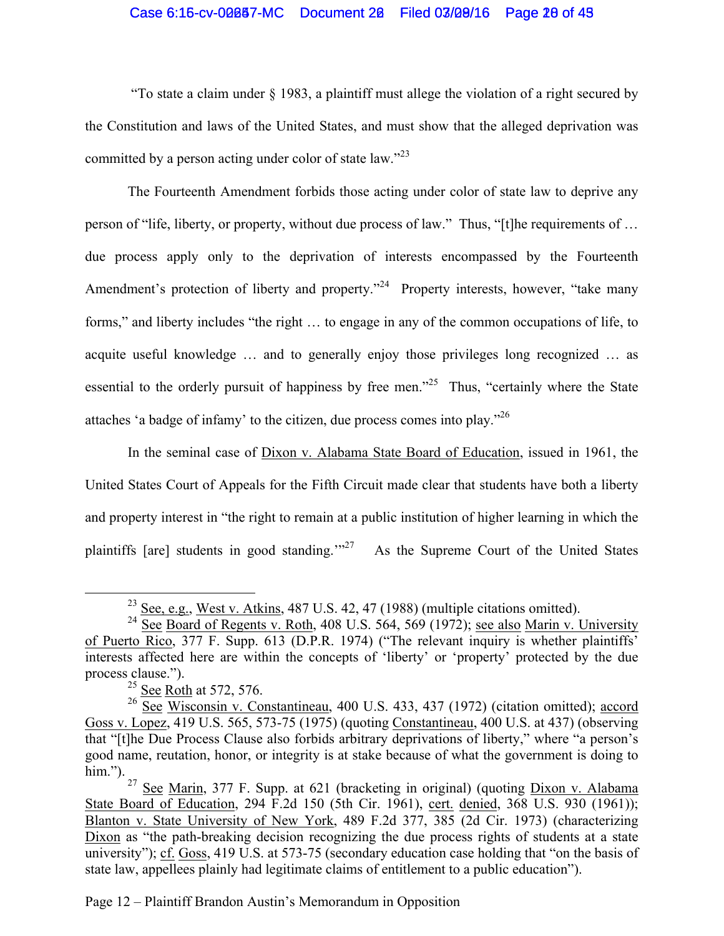## Case 6:16-cv-00087-MC Document 20 Filed 03/08/16 Page 28 of 43

"To state a claim under § 1983, a plaintiff must allege the violation of a right secured by the Constitution and laws of the United States, and must show that the alleged deprivation was committed by a person acting under color of state law."<sup>23</sup>

The Fourteenth Amendment forbids those acting under color of state law to deprive any person of "life, liberty, or property, without due process of law." Thus, "[t]he requirements of … due process apply only to the deprivation of interests encompassed by the Fourteenth Amendment's protection of liberty and property."<sup>24</sup> Property interests, however, "take many forms," and liberty includes "the right … to engage in any of the common occupations of life, to acquite useful knowledge … and to generally enjoy those privileges long recognized … as essential to the orderly pursuit of happiness by free men."<sup>25</sup> Thus, "certainly where the State attaches 'a badge of infamy' to the citizen, due process comes into play."26

In the seminal case of Dixon v. Alabama State Board of Education, issued in 1961, the United States Court of Appeals for the Fifth Circuit made clear that students have both a liberty and property interest in "the right to remain at a public institution of higher learning in which the plaintiffs [are] students in good standing." $^{27}$  As the Supreme Court of the United States

Page 12 – Plaintiff Brandon Austin's Memorandum in Opposition

<sup>&</sup>lt;sup>23</sup> See, e.g., West v. Atkins, 487 U.S. 42, 47 (1988) (multiple citations omitted).

<sup>&</sup>lt;sup>24</sup> See Board of Regents v. Roth, 408 U.S. 564, 569 (1972); see also Marin v. University of Puerto Rico, 377 F. Supp. 613 (D.P.R. 1974) ("The relevant inquiry is whether plaintiffs' interests affected here are within the concepts of 'liberty' or 'property' protected by the due process clause.").

 $25$  See Roth at 572, 576.

<sup>&</sup>lt;sup>26</sup> See Wisconsin v. Constantineau, 400 U.S. 433, 437 (1972) (citation omitted); accord Goss v. Lopez, 419 U.S. 565, 573-75 (1975) (quoting Constantineau, 400 U.S. at 437) (observing that "[t]he Due Process Clause also forbids arbitrary deprivations of liberty," where "a person's good name, reutation, honor, or integrity is at stake because of what the government is doing to him.").

<sup>&</sup>lt;sup>27</sup> See Marin, 377 F. Supp. at 621 (bracketing in original) (quoting  $Dixon v$ . Alabama State Board of Education, 294 F.2d 150 (5th Cir. 1961), cert. denied, 368 U.S. 930 (1961)); Blanton v. State University of New York, 489 F.2d 377, 385 (2d Cir. 1973) (characterizing Dixon as "the path-breaking decision recognizing the due process rights of students at a state university"); cf. Goss, 419 U.S. at 573-75 (secondary education case holding that "on the basis of state law, appellees plainly had legitimate claims of entitlement to a public education").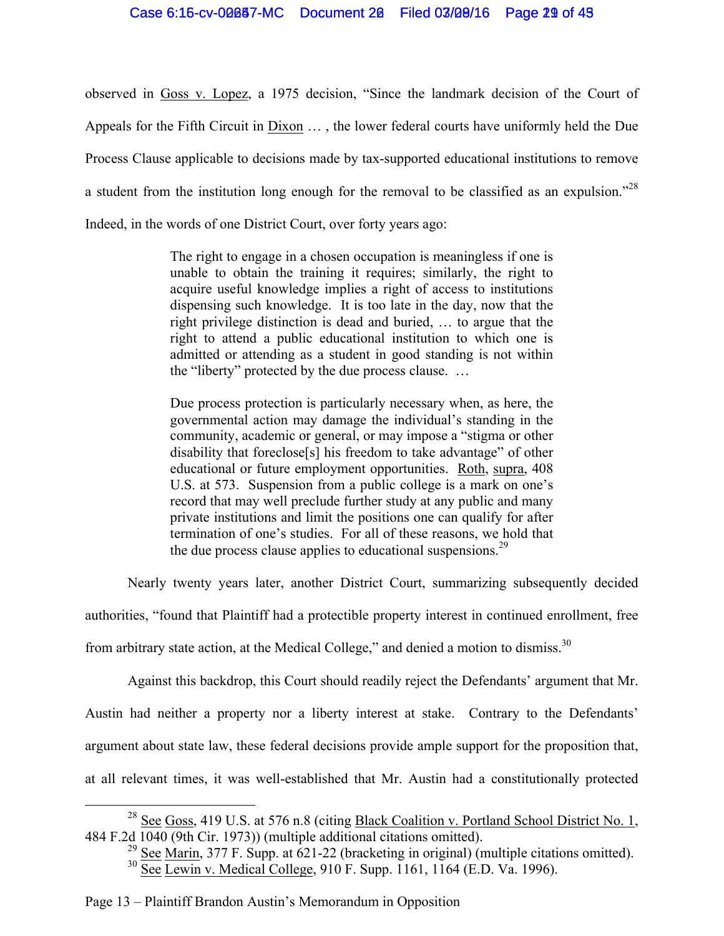observed in Goss v. Lopez, a 1975 decision, "Since the landmark decision of the Court of Appeals for the Fifth Circuit in  $Dixon$   $\dots$ , the lower federal courts have uniformly held the Due Process Clause applicable to decisions made by tax-supported educational institutions to remove a student from the institution long enough for the removal to be classified as an expulsion."28 Indeed, in the words of one District Court, over forty years ago:

> The right to engage in a chosen occupation is meaningless if one is unable to obtain the training it requires; similarly, the right to acquire useful knowledge implies a right of access to institutions dispensing such knowledge. It is too late in the day, now that the right privilege distinction is dead and buried, … to argue that the right to attend a public educational institution to which one is admitted or attending as a student in good standing is not within the "liberty" protected by the due process clause. …

> Due process protection is particularly necessary when, as here, the governmental action may damage the individual's standing in the community, academic or general, or may impose a "stigma or other disability that foreclose[s] his freedom to take advantage" of other educational or future employment opportunities. Roth, supra, 408 U.S. at 573. Suspension from a public college is a mark on one's record that may well preclude further study at any public and many private institutions and limit the positions one can qualify for after termination of one's studies. For all of these reasons, we hold that the due process clause applies to educational suspensions.<sup>29</sup>

Nearly twenty years later, another District Court, summarizing subsequently decided

authorities, "found that Plaintiff had a protectible property interest in continued enrollment, free

from arbitrary state action, at the Medical College," and denied a motion to dismiss.<sup>30</sup>

Against this backdrop, this Court should readily reject the Defendants' argument that Mr.

Austin had neither a property nor a liberty interest at stake. Contrary to the Defendants'

argument about state law, these federal decisions provide ample support for the proposition that,

at all relevant times, it was well-established that Mr. Austin had a constitutionally protected

<sup>&</sup>lt;sup>28</sup> See Goss, 419 U.S. at 576 n.8 (citing Black Coalition v. Portland School District No. 1, 484 F.2d 1040 (9th Cir. 1973)) (multiple additional citations omitted).

<sup>&</sup>lt;sup>29</sup> See Marin, 377 F. Supp. at  $621-22$  (bracketing in original) (multiple citations omitted).  $30 \text{ Sec } \frac{\text{500}}{\text{See } \text{Lewin}}$  v. Medical College, 910 F. Supp. 1161, 1164 (E.D. Va. 1996).

Page 13 – Plaintiff Brandon Austin's Memorandum in Opposition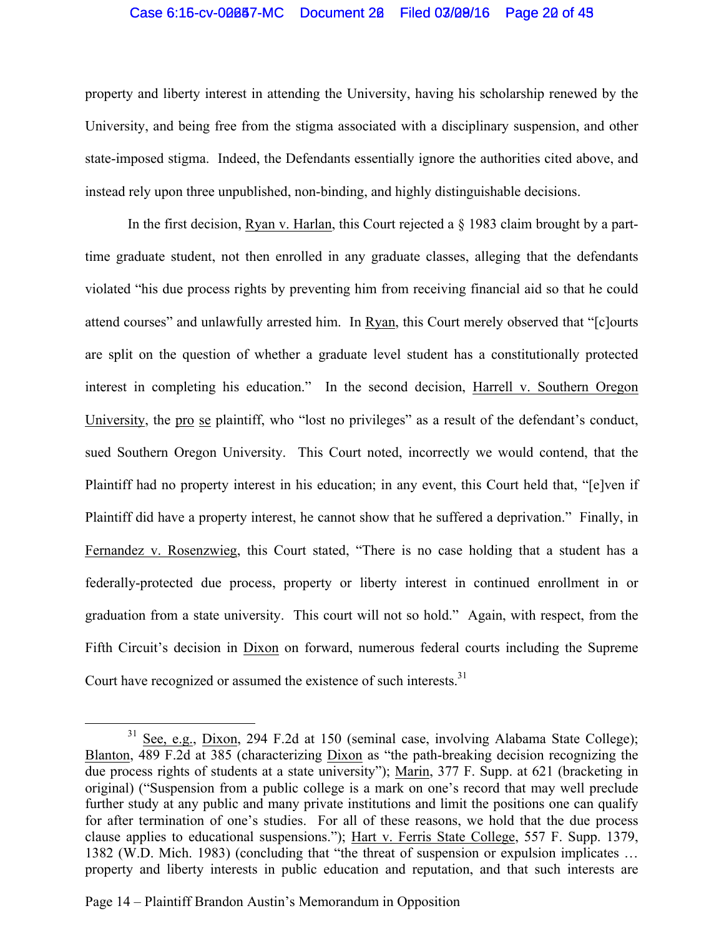## Case 6:15-cv-00087-MC Document 20 Filed 03/09/16 Page 20 of 49

property and liberty interest in attending the University, having his scholarship renewed by the University, and being free from the stigma associated with a disciplinary suspension, and other state-imposed stigma. Indeed, the Defendants essentially ignore the authorities cited above, and instead rely upon three unpublished, non-binding, and highly distinguishable decisions.

In the first decision, Ryan v. Harlan, this Court rejected a  $\S$  1983 claim brought by a parttime graduate student, not then enrolled in any graduate classes, alleging that the defendants violated "his due process rights by preventing him from receiving financial aid so that he could attend courses" and unlawfully arrested him. In Ryan, this Court merely observed that "[c]ourts are split on the question of whether a graduate level student has a constitutionally protected interest in completing his education." In the second decision, Harrell v. Southern Oregon University, the pro se plaintiff, who "lost no privileges" as a result of the defendant's conduct, sued Southern Oregon University. This Court noted, incorrectly we would contend, that the Plaintiff had no property interest in his education; in any event, this Court held that, "[e]ven if Plaintiff did have a property interest, he cannot show that he suffered a deprivation." Finally, in Fernandez v. Rosenzwieg, this Court stated, "There is no case holding that a student has a federally-protected due process, property or liberty interest in continued enrollment in or graduation from a state university. This court will not so hold." Again, with respect, from the Fifth Circuit's decision in Dixon on forward, numerous federal courts including the Supreme Court have recognized or assumed the existence of such interests.<sup>31</sup>

<sup>&</sup>lt;sup>31</sup> See, e.g., Dixon, 294 F.2d at 150 (seminal case, involving Alabama State College); Blanton, 489 F.2d at 385 (characterizing Dixon as "the path-breaking decision recognizing the due process rights of students at a state university"); Marin, 377 F. Supp. at 621 (bracketing in original) ("Suspension from a public college is a mark on one's record that may well preclude further study at any public and many private institutions and limit the positions one can qualify for after termination of one's studies. For all of these reasons, we hold that the due process clause applies to educational suspensions."); Hart v. Ferris State College, 557 F. Supp. 1379, 1382 (W.D. Mich. 1983) (concluding that "the threat of suspension or expulsion implicates … property and liberty interests in public education and reputation, and that such interests are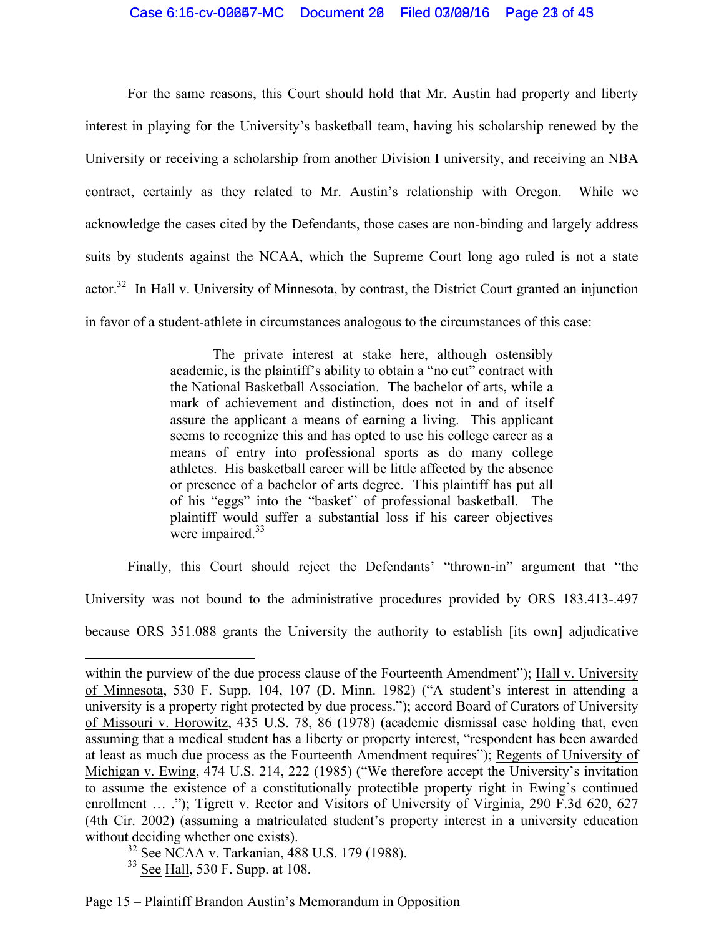## Case 6:15-cv-00087-MC Document 20 Filed 03/09/16 Page 23 of 49

For the same reasons, this Court should hold that Mr. Austin had property and liberty interest in playing for the University's basketball team, having his scholarship renewed by the University or receiving a scholarship from another Division I university, and receiving an NBA contract, certainly as they related to Mr. Austin's relationship with Oregon. While we acknowledge the cases cited by the Defendants, those cases are non-binding and largely address suits by students against the NCAA, which the Supreme Court long ago ruled is not a state actor.<sup>32</sup> In Hall v. University of Minnesota, by contrast, the District Court granted an injunction in favor of a student-athlete in circumstances analogous to the circumstances of this case:

> The private interest at stake here, although ostensibly academic, is the plaintiff's ability to obtain a "no cut" contract with the National Basketball Association. The bachelor of arts, while a mark of achievement and distinction, does not in and of itself assure the applicant a means of earning a living. This applicant seems to recognize this and has opted to use his college career as a means of entry into professional sports as do many college athletes. His basketball career will be little affected by the absence or presence of a bachelor of arts degree. This plaintiff has put all of his "eggs" into the "basket" of professional basketball. The plaintiff would suffer a substantial loss if his career objectives were impaired.<sup>33</sup>

Finally, this Court should reject the Defendants' "thrown-in" argument that "the University was not bound to the administrative procedures provided by ORS 183.413-.497 because ORS 351.088 grants the University the authority to establish [its own] adjudicative

 

within the purview of the due process clause of the Fourteenth Amendment"); Hall v. University of Minnesota, 530 F. Supp. 104, 107 (D. Minn. 1982) ("A student's interest in attending a university is a property right protected by due process."); accord Board of Curators of University of Missouri v. Horowitz, 435 U.S. 78, 86 (1978) (academic dismissal case holding that, even assuming that a medical student has a liberty or property interest, "respondent has been awarded at least as much due process as the Fourteenth Amendment requires"); Regents of University of Michigan v. Ewing, 474 U.S. 214, 222 (1985) ("We therefore accept the University's invitation to assume the existence of a constitutionally protectible property right in Ewing's continued enrollment ... ."); Tigrett v. Rector and Visitors of University of Virginia, 290 F.3d 620, 627 (4th Cir. 2002) (assuming a matriculated student's property interest in a university education without deciding whether one exists).

<sup>32</sup> See NCAA v. Tarkanian, 488 U.S. 179 (1988).

<sup>33</sup> See Hall, 530 F. Supp. at 108.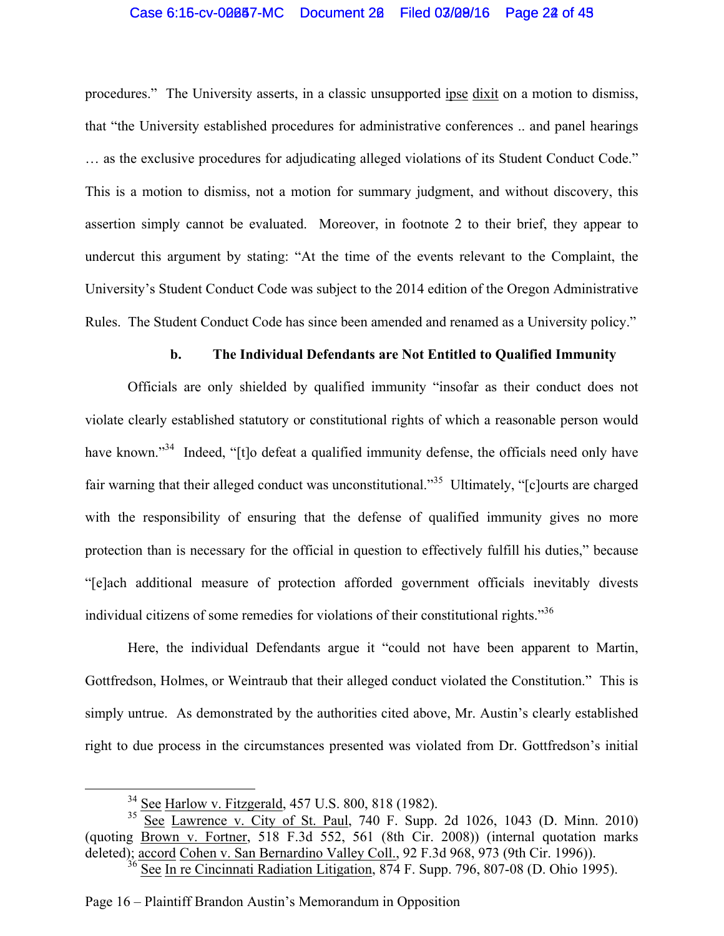#### Case 6:15-cv-00087-MC Document 20 Filed 03/09/16 Page 22 of 45

procedures." The University asserts, in a classic unsupported ipse dixit on a motion to dismiss, that "the University established procedures for administrative conferences .. and panel hearings … as the exclusive procedures for adjudicating alleged violations of its Student Conduct Code." This is a motion to dismiss, not a motion for summary judgment, and without discovery, this assertion simply cannot be evaluated. Moreover, in footnote 2 to their brief, they appear to undercut this argument by stating: "At the time of the events relevant to the Complaint, the University's Student Conduct Code was subject to the 2014 edition of the Oregon Administrative Rules. The Student Conduct Code has since been amended and renamed as a University policy."

#### **b. The Individual Defendants are Not Entitled to Qualified Immunity**

Officials are only shielded by qualified immunity "insofar as their conduct does not violate clearly established statutory or constitutional rights of which a reasonable person would have known."<sup>34</sup> Indeed, "[t]o defeat a qualified immunity defense, the officials need only have fair warning that their alleged conduct was unconstitutional."<sup>35</sup> Ultimately, "[c]ourts are charged with the responsibility of ensuring that the defense of qualified immunity gives no more protection than is necessary for the official in question to effectively fulfill his duties," because "[e]ach additional measure of protection afforded government officials inevitably divests individual citizens of some remedies for violations of their constitutional rights."36

Here, the individual Defendants argue it "could not have been apparent to Martin, Gottfredson, Holmes, or Weintraub that their alleged conduct violated the Constitution." This is simply untrue. As demonstrated by the authorities cited above, Mr. Austin's clearly established right to due process in the circumstances presented was violated from Dr. Gottfredson's initial

Page 16 – Plaintiff Brandon Austin's Memorandum in Opposition

 <sup>34</sup> See Harlow v. Fitzgerald, 457 U.S. 800, 818 (1982).

<sup>&</sup>lt;sup>35</sup> See Lawrence v. City of St. Paul, 740 F. Supp. 2d 1026, 1043 (D. Minn. 2010) (quoting Brown v. Fortner, 518 F.3d 552, 561 (8th Cir. 2008)) (internal quotation marks deleted); accord Cohen v. San Bernardino Valley Coll., 92 F.3d 968, 973 (9th Cir. 1996)).

<sup>36</sup> See In re Cincinnati Radiation Litigation, 874 F. Supp. 796, 807-08 (D. Ohio 1995).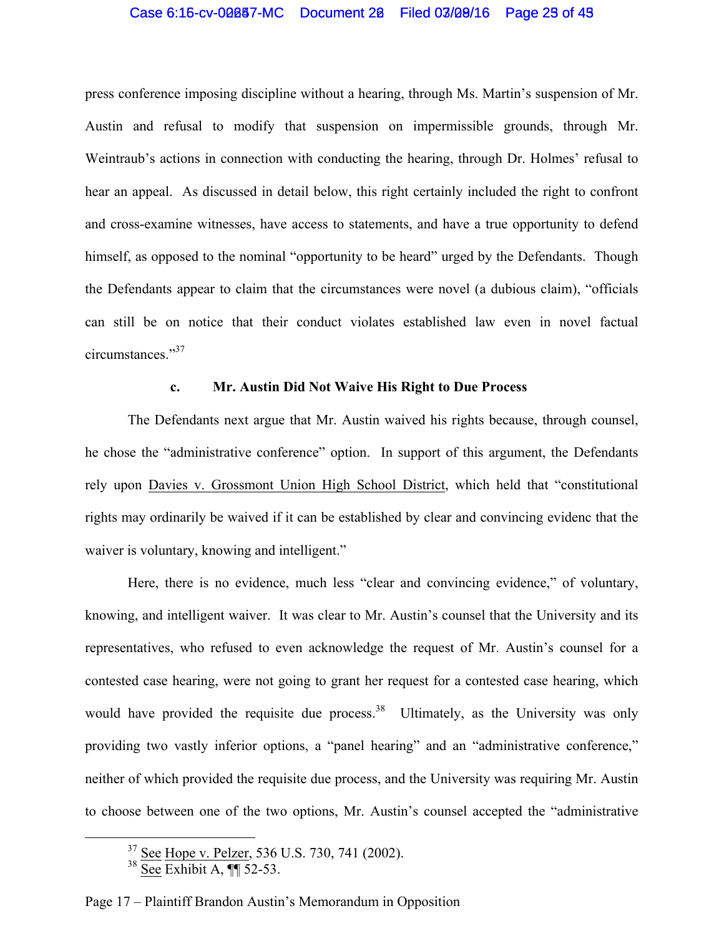## Case 6:15-cv-00087-MC Document 20 Filed 03/09/16 Page 25 of 45

press conference imposing discipline without a hearing, through Ms. Martin's suspension of Mr. Austin and refusal to modify that suspension on impermissible grounds, through Mr. Weintraub's actions in connection with conducting the hearing, through Dr. Holmes' refusal to hear an appeal. As discussed in detail below, this right certainly included the right to confront and cross-examine witnesses, have access to statements, and have a true opportunity to defend himself, as opposed to the nominal "opportunity to be heard" urged by the Defendants. Though the Defendants appear to claim that the circumstances were novel (a dubious claim), "officials can still be on notice that their conduct violates established law even in novel factual circumstances."<sup>37</sup>

#### **c. Mr. Austin Did Not Waive His Right to Due Process**

The Defendants next argue that Mr. Austin waived his rights because, through counsel, he chose the "administrative conference" option. In support of this argument, the Defendants rely upon Davies v. Grossmont Union High School District, which held that "constitutional rights may ordinarily be waived if it can be established by clear and convincing evidenc that the waiver is voluntary, knowing and intelligent."

Here, there is no evidence, much less "clear and convincing evidence," of voluntary, knowing, and intelligent waiver. It was clear to Mr. Austin's counsel that the University and its representatives, who refused to even acknowledge the request of Mr. Austin's counsel for a contested case hearing, were not going to grant her request for a contested case hearing, which would have provided the requisite due process.<sup>38</sup> Ultimately, as the University was only providing two vastly inferior options, a "panel hearing" and an "administrative conference," neither of which provided the requisite due process, and the University was requiring Mr. Austin to choose between one of the two options, Mr. Austin's counsel accepted the "administrative

<sup>&</sup>lt;sup>37</sup> See Hope v. Pelzer, 536 U.S. 730, 741 (2002).

 $38 \overline{\text{See}}$  Exhibit A,  $\P$  52-53.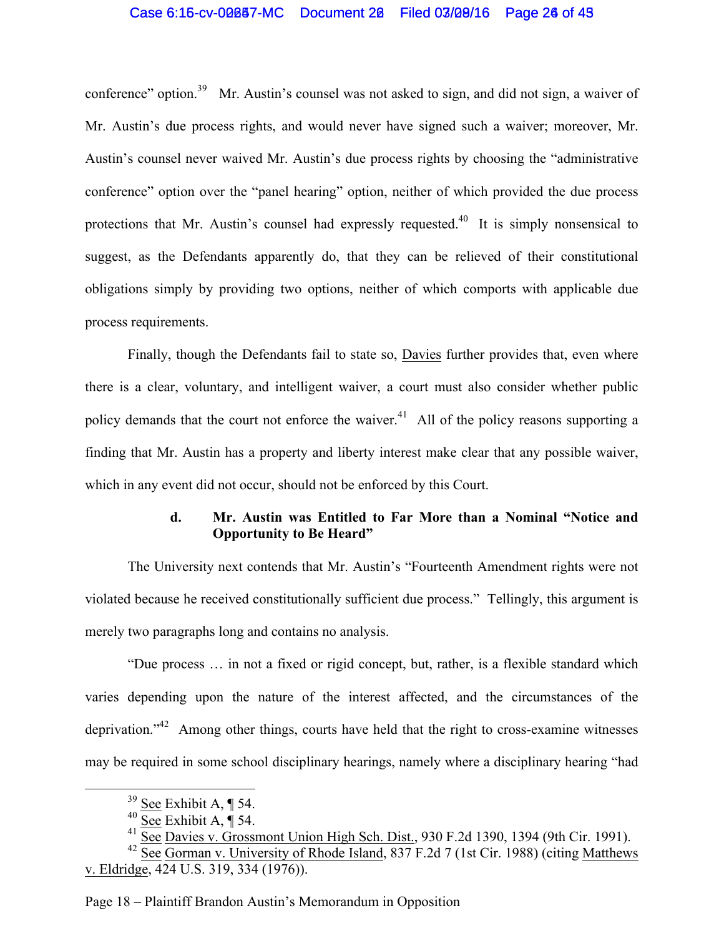## Case 6:15-cv-00087-MC Document 20 Filed 03/09/16 Page 26 of 49

conference" option.<sup>39</sup> Mr. Austin's counsel was not asked to sign, and did not sign, a waiver of Mr. Austin's due process rights, and would never have signed such a waiver; moreover, Mr. Austin's counsel never waived Mr. Austin's due process rights by choosing the "administrative conference" option over the "panel hearing" option, neither of which provided the due process protections that Mr. Austin's counsel had expressly requested.<sup>40</sup> It is simply nonsensical to suggest, as the Defendants apparently do, that they can be relieved of their constitutional obligations simply by providing two options, neither of which comports with applicable due process requirements.

Finally, though the Defendants fail to state so, Davies further provides that, even where there is a clear, voluntary, and intelligent waiver, a court must also consider whether public policy demands that the court not enforce the waiver.<sup>41</sup> All of the policy reasons supporting a finding that Mr. Austin has a property and liberty interest make clear that any possible waiver, which in any event did not occur, should not be enforced by this Court.

## **d. Mr. Austin was Entitled to Far More than a Nominal "Notice and Opportunity to Be Heard"**

The University next contends that Mr. Austin's "Fourteenth Amendment rights were not violated because he received constitutionally sufficient due process." Tellingly, this argument is merely two paragraphs long and contains no analysis.

"Due process … in not a fixed or rigid concept, but, rather, is a flexible standard which varies depending upon the nature of the interest affected, and the circumstances of the deprivation."<sup>42</sup> Among other things, courts have held that the right to cross-examine witnesses may be required in some school disciplinary hearings, namely where a disciplinary hearing "had

Page 18 – Plaintiff Brandon Austin's Memorandum in Opposition

 $39$  See Exhibit A, ¶ 54.

 $40 \overline{\text{See}}$  Exhibit A,  $\P$  54.

 $41$  See Davies v. Grossmont Union High Sch. Dist., 930 F.2d 1390, 1394 (9th Cir. 1991).

<sup>&</sup>lt;sup>42</sup> See Gorman v. University of Rhode Island, 837 F.2d 7 (1st Cir. 1988) (citing Matthews v. Eldridge, 424 U.S. 319, 334 (1976)).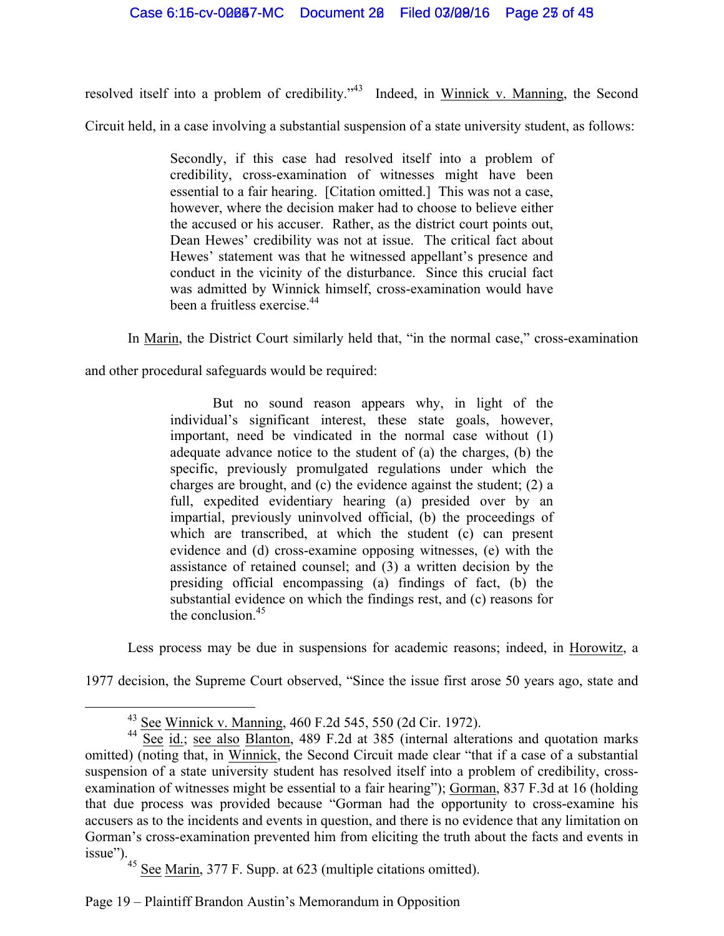resolved itself into a problem of credibility."43 Indeed, in Winnick v. Manning, the Second

Circuit held, in a case involving a substantial suspension of a state university student, as follows:

Secondly, if this case had resolved itself into a problem of credibility, cross-examination of witnesses might have been essential to a fair hearing. [Citation omitted.] This was not a case, however, where the decision maker had to choose to believe either the accused or his accuser. Rather, as the district court points out, Dean Hewes' credibility was not at issue. The critical fact about Hewes' statement was that he witnessed appellant's presence and conduct in the vicinity of the disturbance. Since this crucial fact was admitted by Winnick himself, cross-examination would have been a fruitless exercise.<sup>44</sup>

In Marin, the District Court similarly held that, "in the normal case," cross-examination

and other procedural safeguards would be required:

But no sound reason appears why, in light of the individual's significant interest, these state goals, however, important, need be vindicated in the normal case without (1) adequate advance notice to the student of (a) the charges, (b) the specific, previously promulgated regulations under which the charges are brought, and (c) the evidence against the student; (2) a full, expedited evidentiary hearing (a) presided over by an impartial, previously uninvolved official, (b) the proceedings of which are transcribed, at which the student (c) can present evidence and (d) cross-examine opposing witnesses, (e) with the assistance of retained counsel; and (3) a written decision by the presiding official encompassing (a) findings of fact, (b) the substantial evidence on which the findings rest, and (c) reasons for the conclusion.<sup>45</sup>

Less process may be due in suspensions for academic reasons; indeed, in Horowitz, a

1977 decision, the Supreme Court observed, "Since the issue first arose 50 years ago, state and

 $45$  See Marin, 377 F. Supp. at 623 (multiple citations omitted).

 <sup>43</sup> See Winnick v. Manning, 460 F.2d 545, 550 (2d Cir. 1972).

<sup>&</sup>lt;sup>44</sup> See id.; see also Blanton, 489 F.2d at 385 (internal alterations and quotation marks omitted) (noting that, in Winnick, the Second Circuit made clear "that if a case of a substantial suspension of a state university student has resolved itself into a problem of credibility, crossexamination of witnesses might be essential to a fair hearing"); Gorman, 837 F.3d at 16 (holding that due process was provided because "Gorman had the opportunity to cross-examine his accusers as to the incidents and events in question, and there is no evidence that any limitation on Gorman's cross-examination prevented him from eliciting the truth about the facts and events in issue").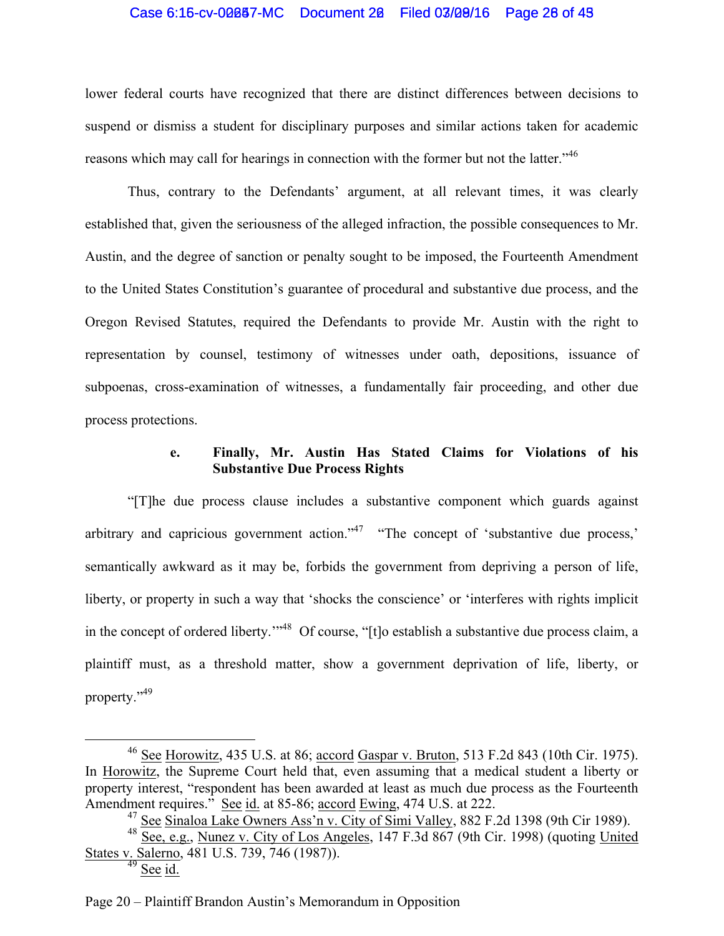#### Case 6:16-cv-00087-MC Document 20 Filed 03/09/16 Page 26 of 43

lower federal courts have recognized that there are distinct differences between decisions to suspend or dismiss a student for disciplinary purposes and similar actions taken for academic reasons which may call for hearings in connection with the former but not the latter.<sup>146</sup>

Thus, contrary to the Defendants' argument, at all relevant times, it was clearly established that, given the seriousness of the alleged infraction, the possible consequences to Mr. Austin, and the degree of sanction or penalty sought to be imposed, the Fourteenth Amendment to the United States Constitution's guarantee of procedural and substantive due process, and the Oregon Revised Statutes, required the Defendants to provide Mr. Austin with the right to representation by counsel, testimony of witnesses under oath, depositions, issuance of subpoenas, cross-examination of witnesses, a fundamentally fair proceeding, and other due process protections.

## **e. Finally, Mr. Austin Has Stated Claims for Violations of his Substantive Due Process Rights**

"[T]he due process clause includes a substantive component which guards against arbitrary and capricious government action.<sup> $347$ </sup> "The concept of 'substantive due process,' semantically awkward as it may be, forbids the government from depriving a person of life, liberty, or property in such a way that 'shocks the conscience' or 'interferes with rights implicit in the concept of ordered liberty.'"48 Of course, "[t]o establish a substantive due process claim, a plaintiff must, as a threshold matter, show a government deprivation of life, liberty, or property."49

 <sup>46</sup> See Horowitz, 435 U.S. at 86; accord Gaspar v. Bruton, 513 F.2d 843 (10th Cir. 1975). In Horowitz, the Supreme Court held that, even assuming that a medical student a liberty or property interest, "respondent has been awarded at least as much due process as the Fourteenth Amendment requires." See id. at 85-86; accord Ewing, 474 U.S. at 222.

<sup>&</sup>lt;sup>47</sup> See Sinaloa Lake Owners Ass'<u>n v. City of Simi Valley</u>, 882 F.2d 1398 (9th Cir 1989).

<sup>48</sup> See, e.g., Nunez v. City of Los Angeles, 147 F.3d 867 (9th Cir. 1998) (quoting United States v. Salerno, 481 U.S. 739, 746 (1987)).

 $49$  See id.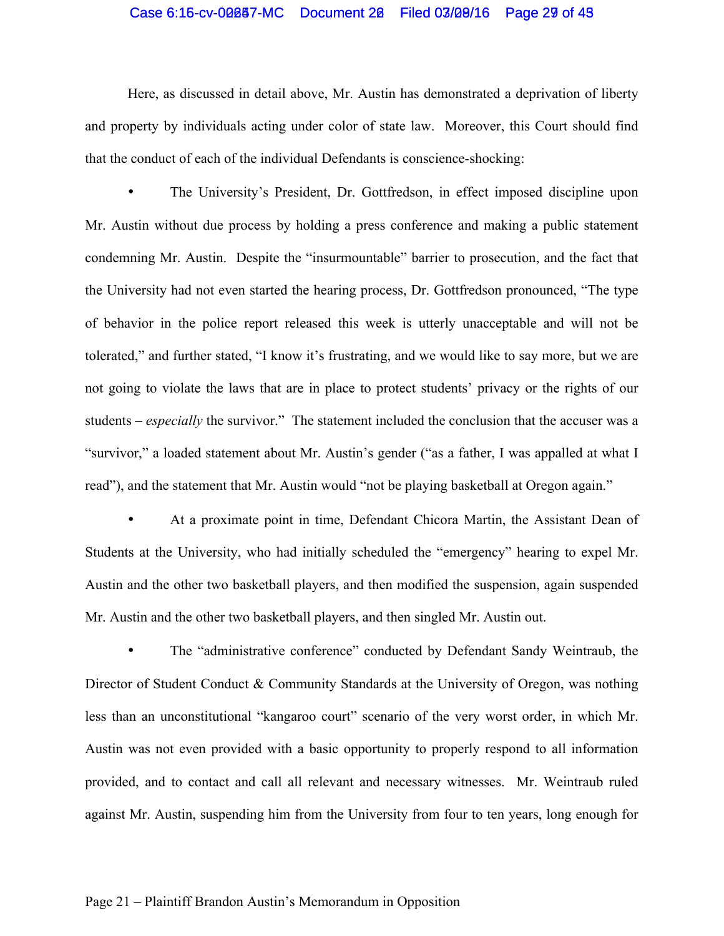## Case 6:15-cv-00087-MC Document 20 Filed 03/09/16 Page 29 of 48

Here, as discussed in detail above, Mr. Austin has demonstrated a deprivation of liberty and property by individuals acting under color of state law. Moreover, this Court should find that the conduct of each of the individual Defendants is conscience-shocking:

• The University's President, Dr. Gottfredson, in effect imposed discipline upon Mr. Austin without due process by holding a press conference and making a public statement condemning Mr. Austin. Despite the "insurmountable" barrier to prosecution, and the fact that the University had not even started the hearing process, Dr. Gottfredson pronounced, "The type of behavior in the police report released this week is utterly unacceptable and will not be tolerated," and further stated, "I know it's frustrating, and we would like to say more, but we are not going to violate the laws that are in place to protect students' privacy or the rights of our students – *especially* the survivor." The statement included the conclusion that the accuser was a "survivor," a loaded statement about Mr. Austin's gender ("as a father, I was appalled at what I read"), and the statement that Mr. Austin would "not be playing basketball at Oregon again."

• At a proximate point in time, Defendant Chicora Martin, the Assistant Dean of Students at the University, who had initially scheduled the "emergency" hearing to expel Mr. Austin and the other two basketball players, and then modified the suspension, again suspended Mr. Austin and the other two basketball players, and then singled Mr. Austin out.

The "administrative conference" conducted by Defendant Sandy Weintraub, the Director of Student Conduct & Community Standards at the University of Oregon, was nothing less than an unconstitutional "kangaroo court" scenario of the very worst order, in which Mr. Austin was not even provided with a basic opportunity to properly respond to all information provided, and to contact and call all relevant and necessary witnesses. Mr. Weintraub ruled against Mr. Austin, suspending him from the University from four to ten years, long enough for

#### Page 21 – Plaintiff Brandon Austin's Memorandum in Opposition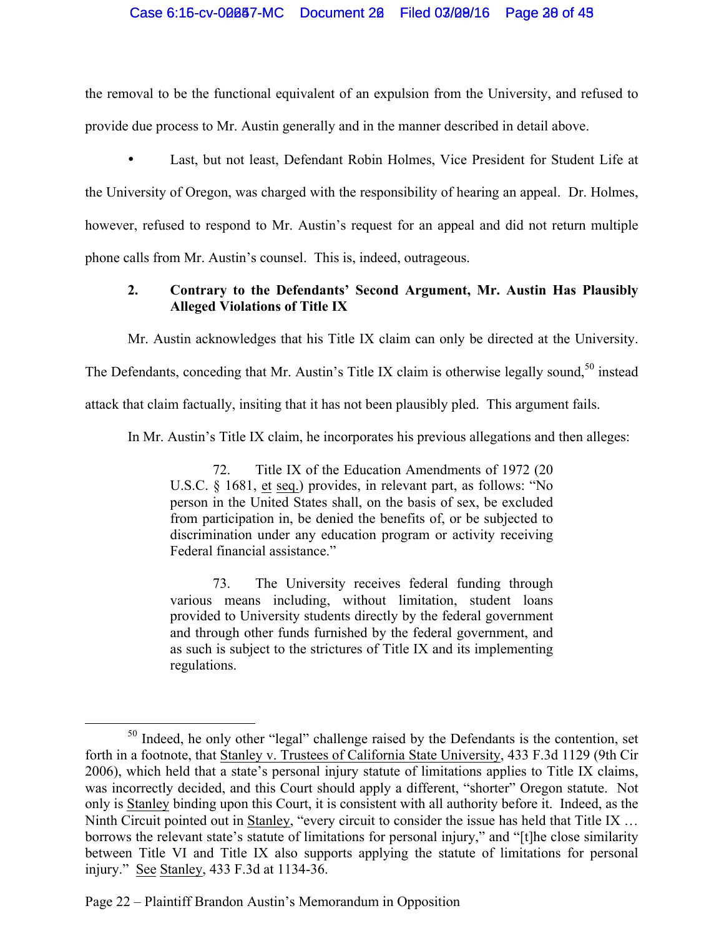## Case 6:15-cv-00087-MC Document 20 Filed 03/09/16 Page 28 of 43

the removal to be the functional equivalent of an expulsion from the University, and refused to provide due process to Mr. Austin generally and in the manner described in detail above.

• Last, but not least, Defendant Robin Holmes, Vice President for Student Life at the University of Oregon, was charged with the responsibility of hearing an appeal. Dr. Holmes, however, refused to respond to Mr. Austin's request for an appeal and did not return multiple phone calls from Mr. Austin's counsel. This is, indeed, outrageous.

## **2. Contrary to the Defendants' Second Argument, Mr. Austin Has Plausibly Alleged Violations of Title IX**

Mr. Austin acknowledges that his Title IX claim can only be directed at the University.

The Defendants, conceding that Mr. Austin's Title IX claim is otherwise legally sound,<sup>50</sup> instead

attack that claim factually, insiting that it has not been plausibly pled. This argument fails.

In Mr. Austin's Title IX claim, he incorporates his previous allegations and then alleges:

72. Title IX of the Education Amendments of 1972 (20 U.S.C. § 1681, et seq.) provides, in relevant part, as follows: "No person in the United States shall, on the basis of sex, be excluded from participation in, be denied the benefits of, or be subjected to discrimination under any education program or activity receiving Federal financial assistance."

73. The University receives federal funding through various means including, without limitation, student loans provided to University students directly by the federal government and through other funds furnished by the federal government, and as such is subject to the strictures of Title IX and its implementing regulations.

Page 22 – Plaintiff Brandon Austin's Memorandum in Opposition

<sup>&</sup>lt;sup>50</sup> Indeed, he only other "legal" challenge raised by the Defendants is the contention, set forth in a footnote, that Stanley v. Trustees of California State University, 433 F.3d 1129 (9th Cir 2006), which held that a state's personal injury statute of limitations applies to Title IX claims, was incorrectly decided, and this Court should apply a different, "shorter" Oregon statute. Not only is Stanley binding upon this Court, it is consistent with all authority before it. Indeed, as the Ninth Circuit pointed out in Stanley, "every circuit to consider the issue has held that Title IX … borrows the relevant state's statute of limitations for personal injury," and "[t]he close similarity between Title VI and Title IX also supports applying the statute of limitations for personal injury." See Stanley, 433 F.3d at 1134-36.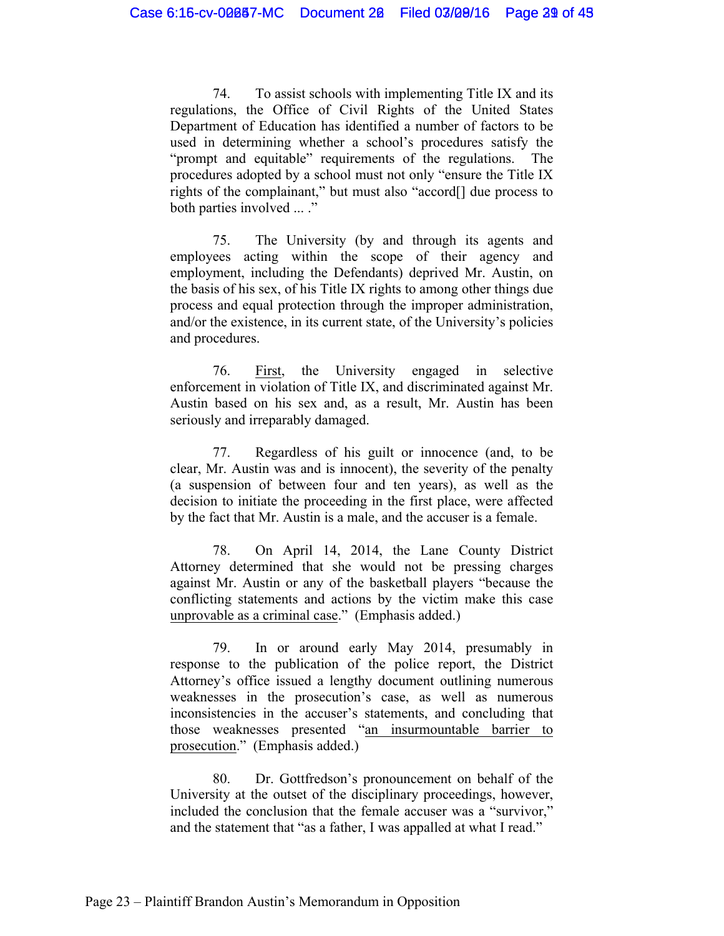74. To assist schools with implementing Title IX and its regulations, the Office of Civil Rights of the United States Department of Education has identified a number of factors to be used in determining whether a school's procedures satisfy the "prompt and equitable" requirements of the regulations. The procedures adopted by a school must not only "ensure the Title IX rights of the complainant," but must also "accord[] due process to both parties involved ... ."

75. The University (by and through its agents and employees acting within the scope of their agency and employment, including the Defendants) deprived Mr. Austin, on the basis of his sex, of his Title IX rights to among other things due process and equal protection through the improper administration, and/or the existence, in its current state, of the University's policies and procedures.

76. First, the University engaged in selective enforcement in violation of Title IX, and discriminated against Mr. Austin based on his sex and, as a result, Mr. Austin has been seriously and irreparably damaged.

77. Regardless of his guilt or innocence (and, to be clear, Mr. Austin was and is innocent), the severity of the penalty (a suspension of between four and ten years), as well as the decision to initiate the proceeding in the first place, were affected by the fact that Mr. Austin is a male, and the accuser is a female.

78. On April 14, 2014, the Lane County District Attorney determined that she would not be pressing charges against Mr. Austin or any of the basketball players "because the conflicting statements and actions by the victim make this case unprovable as a criminal case." (Emphasis added.)

79. In or around early May 2014, presumably in response to the publication of the police report, the District Attorney's office issued a lengthy document outlining numerous weaknesses in the prosecution's case, as well as numerous inconsistencies in the accuser's statements, and concluding that those weaknesses presented "an insurmountable barrier to prosecution." (Emphasis added.)

80. Dr. Gottfredson's pronouncement on behalf of the University at the outset of the disciplinary proceedings, however, included the conclusion that the female accuser was a "survivor," and the statement that "as a father, I was appalled at what I read."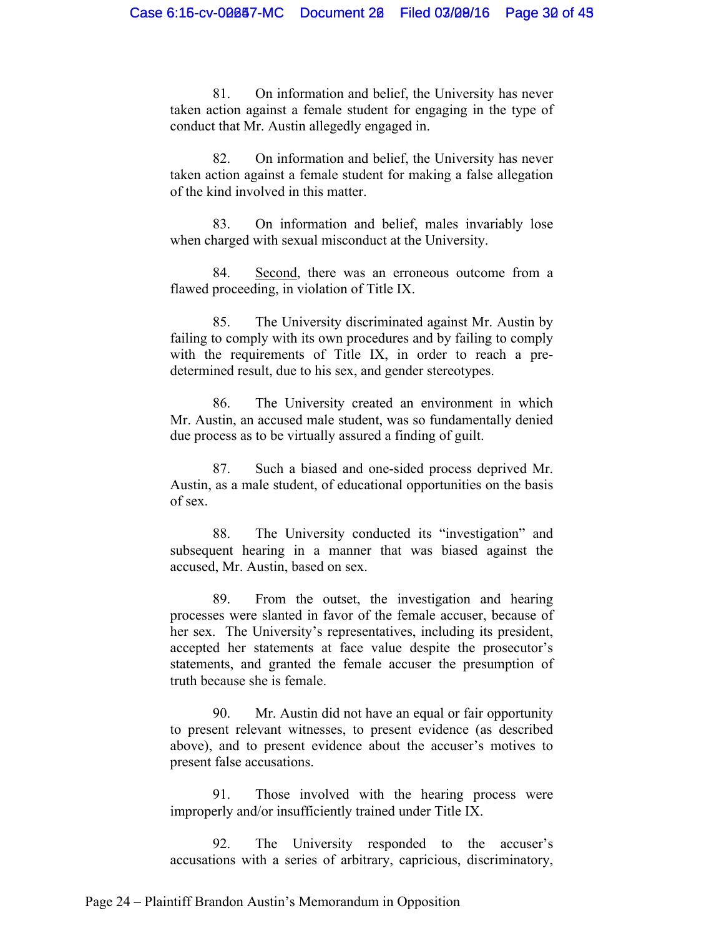81. On information and belief, the University has never taken action against a female student for engaging in the type of conduct that Mr. Austin allegedly engaged in.

82. On information and belief, the University has never taken action against a female student for making a false allegation of the kind involved in this matter.

83. On information and belief, males invariably lose when charged with sexual misconduct at the University.

84. Second, there was an erroneous outcome from a flawed proceeding, in violation of Title IX.

85. The University discriminated against Mr. Austin by failing to comply with its own procedures and by failing to comply with the requirements of Title IX, in order to reach a predetermined result, due to his sex, and gender stereotypes.

86. The University created an environment in which Mr. Austin, an accused male student, was so fundamentally denied due process as to be virtually assured a finding of guilt.

87. Such a biased and one-sided process deprived Mr. Austin, as a male student, of educational opportunities on the basis of sex.

88. The University conducted its "investigation" and subsequent hearing in a manner that was biased against the accused, Mr. Austin, based on sex.

89. From the outset, the investigation and hearing processes were slanted in favor of the female accuser, because of her sex. The University's representatives, including its president, accepted her statements at face value despite the prosecutor's statements, and granted the female accuser the presumption of truth because she is female.

90. Mr. Austin did not have an equal or fair opportunity to present relevant witnesses, to present evidence (as described above), and to present evidence about the accuser's motives to present false accusations.

91. Those involved with the hearing process were improperly and/or insufficiently trained under Title IX.

92. The University responded to the accuser's accusations with a series of arbitrary, capricious, discriminatory,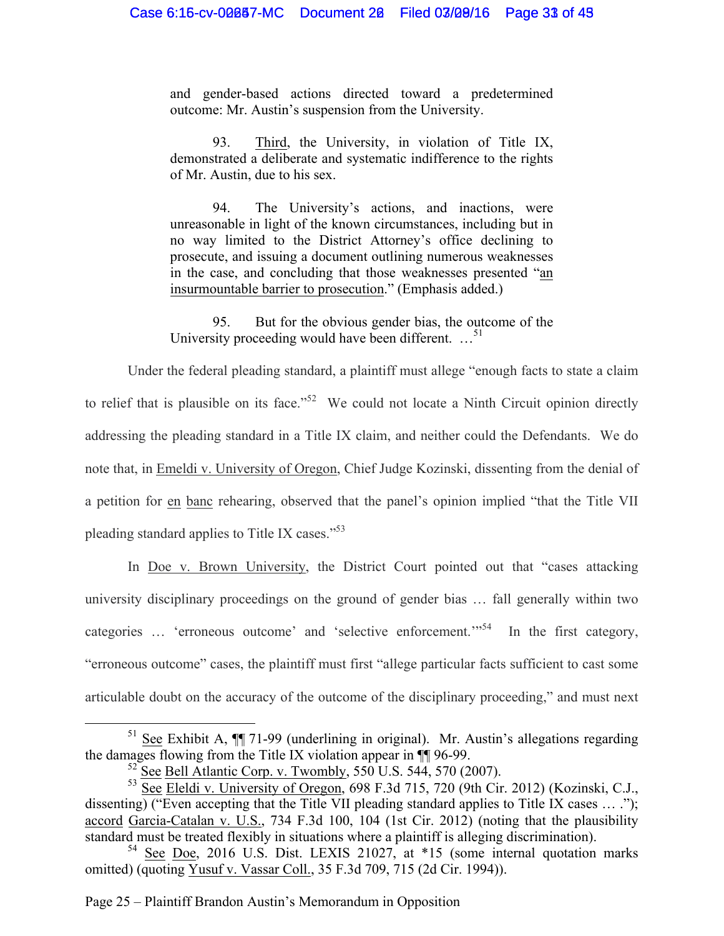and gender-based actions directed toward a predetermined outcome: Mr. Austin's suspension from the University.

93. Third, the University, in violation of Title IX, demonstrated a deliberate and systematic indifference to the rights of Mr. Austin, due to his sex.

94. The University's actions, and inactions, were unreasonable in light of the known circumstances, including but in no way limited to the District Attorney's office declining to prosecute, and issuing a document outlining numerous weaknesses in the case, and concluding that those weaknesses presented "an insurmountable barrier to prosecution." (Emphasis added.)

95. But for the obvious gender bias, the outcome of the University proceeding would have been different. ...<sup>51</sup>

Under the federal pleading standard, a plaintiff must allege "enough facts to state a claim to relief that is plausible on its face.<sup>52</sup> We could not locate a Ninth Circuit opinion directly addressing the pleading standard in a Title IX claim, and neither could the Defendants. We do note that, in Emeldi v. University of Oregon, Chief Judge Kozinski, dissenting from the denial of a petition for en banc rehearing, observed that the panel's opinion implied "that the Title VII pleading standard applies to Title IX cases."<sup>53</sup>

In Doe v. Brown University, the District Court pointed out that "cases attacking university disciplinary proceedings on the ground of gender bias … fall generally within two categories ... 'erroneous outcome' and 'selective enforcement.'<sup>54</sup> In the first category, "erroneous outcome" cases, the plaintiff must first "allege particular facts sufficient to cast some articulable doubt on the accuracy of the outcome of the disciplinary proceeding," and must next

Page 25 – Plaintiff Brandon Austin's Memorandum in Opposition

<sup>&</sup>lt;sup>51</sup> See Exhibit A,  $\P$  71-99 (underlining in original). Mr. Austin's allegations regarding the damages flowing from the Title IX violation appear in ¶¶ 96-99.

 $52$  See Bell Atlantic Corp. v. Twombly,  $550$  U.S.  $544$ ,  $570$  (2007).

<sup>&</sup>lt;sup>53</sup> See Eleldi v. University of Oregon, 698 F.3d 715, 720 (9th Cir. 2012) (Kozinski, C.J., dissenting) ("Even accepting that the Title VII pleading standard applies to Title IX cases … ."); accord Garcia-Catalan v. U.S., 734 F.3d 100, 104 (1st Cir. 2012) (noting that the plausibility standard must be treated flexibly in situations where a plaintiff is alleging discrimination).

<sup>54</sup> See Doe, 2016 U.S. Dist. LEXIS 21027, at \*15 (some internal quotation marks omitted) (quoting Yusuf v. Vassar Coll., 35 F.3d 709, 715 (2d Cir. 1994)).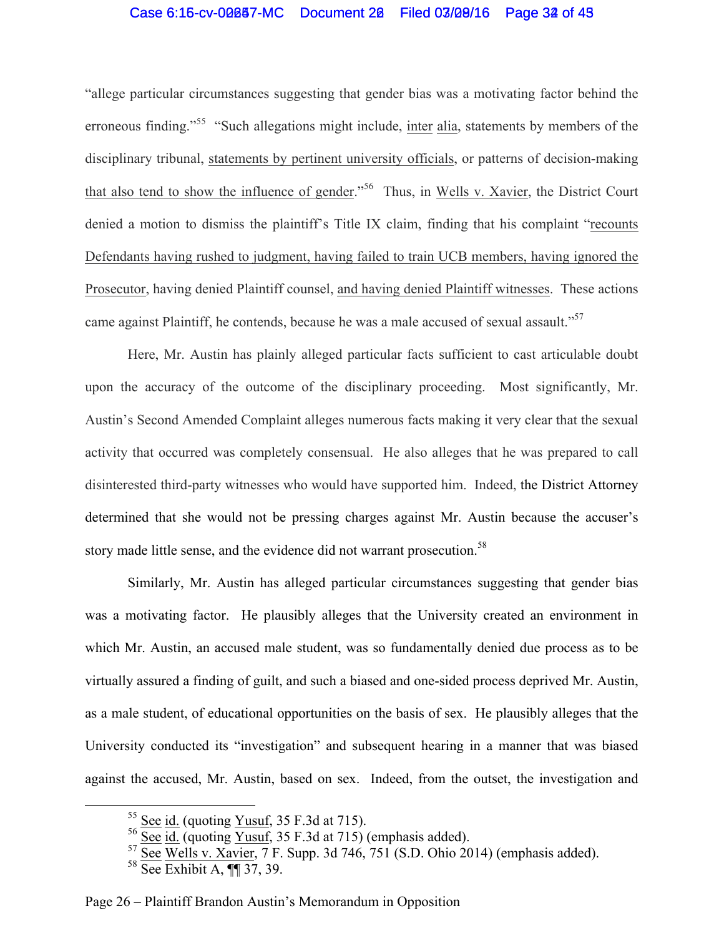## Case 6:15-cv-00087-MC Document 20 Filed 03/09/16 Page 32 of 45

"allege particular circumstances suggesting that gender bias was a motivating factor behind the erroneous finding."<sup>55</sup> "Such allegations might include, inter alia, statements by members of the disciplinary tribunal, statements by pertinent university officials, or patterns of decision-making that also tend to show the influence of gender."<sup>56</sup> Thus, in Wells v. Xavier, the District Court denied a motion to dismiss the plaintiff's Title IX claim, finding that his complaint "recounts Defendants having rushed to judgment, having failed to train UCB members, having ignored the Prosecutor, having denied Plaintiff counsel, and having denied Plaintiff witnesses. These actions came against Plaintiff, he contends, because he was a male accused of sexual assault."<sup>57</sup>

Here, Mr. Austin has plainly alleged particular facts sufficient to cast articulable doubt upon the accuracy of the outcome of the disciplinary proceeding. Most significantly, Mr. Austin's Second Amended Complaint alleges numerous facts making it very clear that the sexual activity that occurred was completely consensual. He also alleges that he was prepared to call disinterested third-party witnesses who would have supported him. Indeed, the District Attorney determined that she would not be pressing charges against Mr. Austin because the accuser's story made little sense, and the evidence did not warrant prosecution.<sup>58</sup>

Similarly, Mr. Austin has alleged particular circumstances suggesting that gender bias was a motivating factor. He plausibly alleges that the University created an environment in which Mr. Austin, an accused male student, was so fundamentally denied due process as to be virtually assured a finding of guilt, and such a biased and one-sided process deprived Mr. Austin, as a male student, of educational opportunities on the basis of sex. He plausibly alleges that the University conducted its "investigation" and subsequent hearing in a manner that was biased against the accused, Mr. Austin, based on sex. Indeed, from the outset, the investigation and

 $\frac{55 \text{ See } id.}{}$  (quoting Yusuf, 35 F.3d at 715).

 $\frac{56}{\text{See}}$   $\frac{1}{\text{id}}$  (quoting Yusuf, 35 F.3d at 715) (emphasis added).

 $57 \overline{\text{See}}$  Wells v. Xavier, 7 F. Supp. 3d 746, 751 (S.D. Ohio 2014) (emphasis added).

<sup>58</sup> See Exhibit A, ¶¶ 37, 39.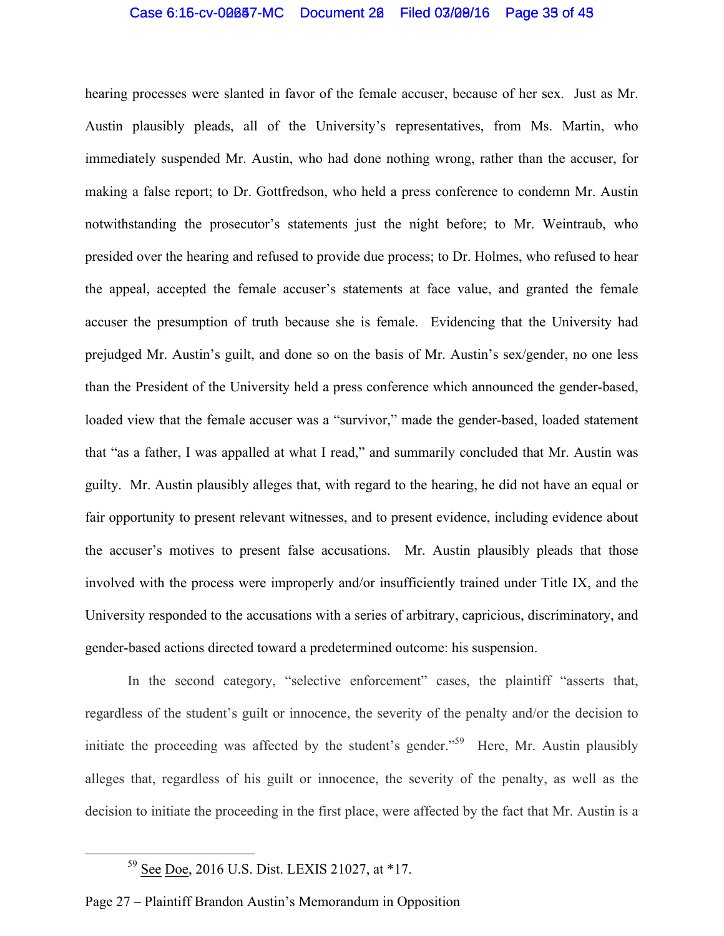## Case 6:15-cv-00087-MC Document 20 Filed 03/09/16 Page 35 of 45

hearing processes were slanted in favor of the female accuser, because of her sex. Just as Mr. Austin plausibly pleads, all of the University's representatives, from Ms. Martin, who immediately suspended Mr. Austin, who had done nothing wrong, rather than the accuser, for making a false report; to Dr. Gottfredson, who held a press conference to condemn Mr. Austin notwithstanding the prosecutor's statements just the night before; to Mr. Weintraub, who presided over the hearing and refused to provide due process; to Dr. Holmes, who refused to hear the appeal, accepted the female accuser's statements at face value, and granted the female accuser the presumption of truth because she is female. Evidencing that the University had prejudged Mr. Austin's guilt, and done so on the basis of Mr. Austin's sex/gender, no one less than the President of the University held a press conference which announced the gender-based, loaded view that the female accuser was a "survivor," made the gender-based, loaded statement that "as a father, I was appalled at what I read," and summarily concluded that Mr. Austin was guilty. Mr. Austin plausibly alleges that, with regard to the hearing, he did not have an equal or fair opportunity to present relevant witnesses, and to present evidence, including evidence about the accuser's motives to present false accusations. Mr. Austin plausibly pleads that those involved with the process were improperly and/or insufficiently trained under Title IX, and the University responded to the accusations with a series of arbitrary, capricious, discriminatory, and gender-based actions directed toward a predetermined outcome: his suspension.

In the second category, "selective enforcement" cases, the plaintiff "asserts that, regardless of the student's guilt or innocence, the severity of the penalty and/or the decision to initiate the proceeding was affected by the student's gender."<sup>59</sup> Here, Mr. Austin plausibly alleges that, regardless of his guilt or innocence, the severity of the penalty, as well as the decision to initiate the proceeding in the first place, were affected by the fact that Mr. Austin is a

 <sup>59</sup> See Doe, 2016 U.S. Dist. LEXIS 21027, at \*17.

Page 27 – Plaintiff Brandon Austin's Memorandum in Opposition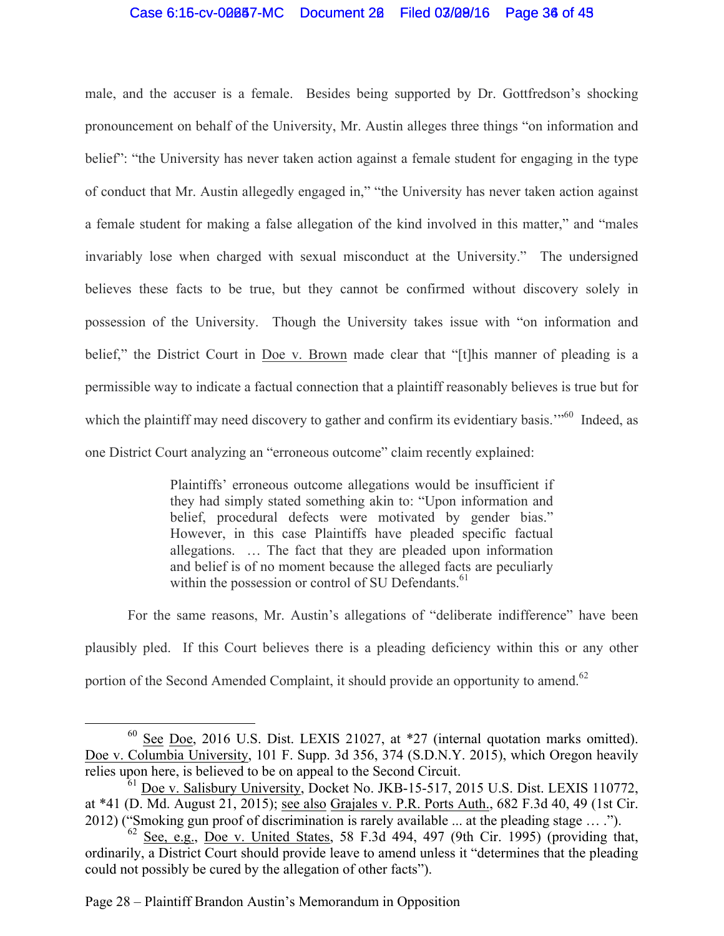## Case 6:16-cv-00087-MC Document 20 Filed 03/09/16 Page 36 of 49

male, and the accuser is a female. Besides being supported by Dr. Gottfredson's shocking pronouncement on behalf of the University, Mr. Austin alleges three things "on information and belief": "the University has never taken action against a female student for engaging in the type of conduct that Mr. Austin allegedly engaged in," "the University has never taken action against a female student for making a false allegation of the kind involved in this matter," and "males invariably lose when charged with sexual misconduct at the University." The undersigned believes these facts to be true, but they cannot be confirmed without discovery solely in possession of the University. Though the University takes issue with "on information and belief," the District Court in Doe v. Brown made clear that "[t]his manner of pleading is a permissible way to indicate a factual connection that a plaintiff reasonably believes is true but for which the plaintiff may need discovery to gather and confirm its evidentiary basis."<sup>60</sup> Indeed, as one District Court analyzing an "erroneous outcome" claim recently explained:

> Plaintiffs' erroneous outcome allegations would be insufficient if they had simply stated something akin to: "Upon information and belief, procedural defects were motivated by gender bias." However, in this case Plaintiffs have pleaded specific factual allegations. … The fact that they are pleaded upon information and belief is of no moment because the alleged facts are peculiarly within the possession or control of SU Defendants.<sup>61</sup>

For the same reasons, Mr. Austin's allegations of "deliberate indifference" have been plausibly pled. If this Court believes there is a pleading deficiency within this or any other portion of the Second Amended Complaint, it should provide an opportunity to amend.<sup>62</sup>

Page 28 – Plaintiff Brandon Austin's Memorandum in Opposition

 $60$  See Doe, 2016 U.S. Dist. LEXIS 21027, at  $*27$  (internal quotation marks omitted). Doe v. Columbia University, 101 F. Supp. 3d 356, 374 (S.D.N.Y. 2015), which Oregon heavily relies upon here, is believed to be on appeal to the Second Circuit.

<sup>61</sup> Doe v. Salisbury University, Docket No. JKB-15-517, 2015 U.S. Dist. LEXIS 110772, at \*41 (D. Md. August 21, 2015); see also Grajales v. P.R. Ports Auth., 682 F.3d 40, 49 (1st Cir. 2012) ("Smoking gun proof of discrimination is rarely available ... at the pleading stage … .").

 $62$  See, e.g., Doe v. United States, 58 F.3d 494, 497 (9th Cir. 1995) (providing that, ordinarily, a District Court should provide leave to amend unless it "determines that the pleading could not possibly be cured by the allegation of other facts").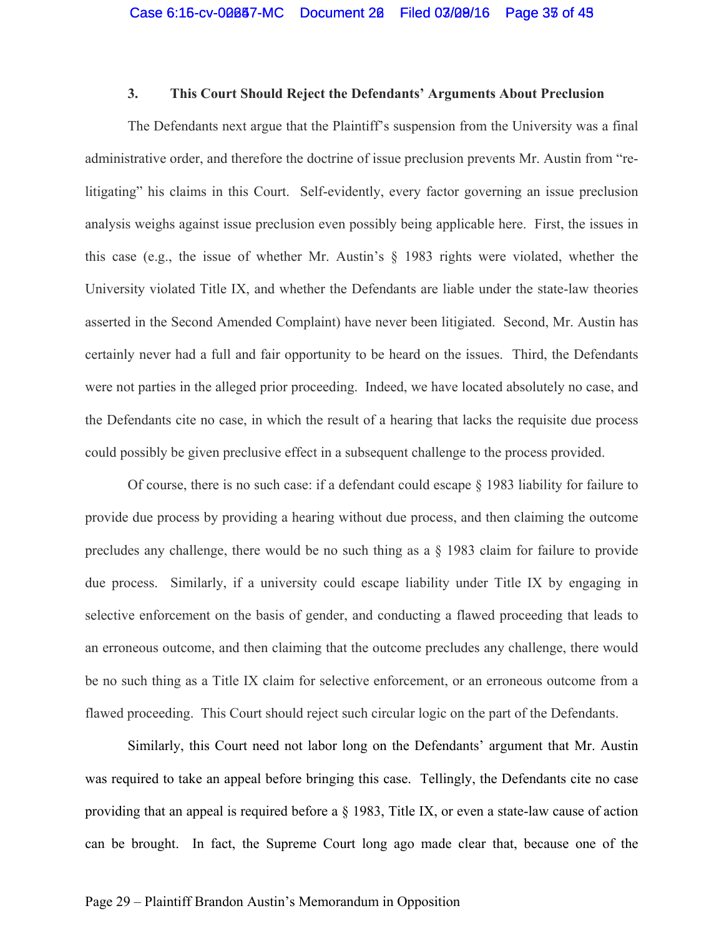## **3. This Court Should Reject the Defendants' Arguments About Preclusion**

The Defendants next argue that the Plaintiff's suspension from the University was a final administrative order, and therefore the doctrine of issue preclusion prevents Mr. Austin from "relitigating" his claims in this Court. Self-evidently, every factor governing an issue preclusion analysis weighs against issue preclusion even possibly being applicable here. First, the issues in this case (e.g., the issue of whether Mr. Austin's § 1983 rights were violated, whether the University violated Title IX, and whether the Defendants are liable under the state-law theories asserted in the Second Amended Complaint) have never been litigiated. Second, Mr. Austin has certainly never had a full and fair opportunity to be heard on the issues. Third, the Defendants were not parties in the alleged prior proceeding. Indeed, we have located absolutely no case, and the Defendants cite no case, in which the result of a hearing that lacks the requisite due process could possibly be given preclusive effect in a subsequent challenge to the process provided.

Of course, there is no such case: if a defendant could escape § 1983 liability for failure to provide due process by providing a hearing without due process, and then claiming the outcome precludes any challenge, there would be no such thing as a § 1983 claim for failure to provide due process. Similarly, if a university could escape liability under Title IX by engaging in selective enforcement on the basis of gender, and conducting a flawed proceeding that leads to an erroneous outcome, and then claiming that the outcome precludes any challenge, there would be no such thing as a Title IX claim for selective enforcement, or an erroneous outcome from a flawed proceeding. This Court should reject such circular logic on the part of the Defendants.

Similarly, this Court need not labor long on the Defendants' argument that Mr. Austin was required to take an appeal before bringing this case. Tellingly, the Defendants cite no case providing that an appeal is required before a § 1983, Title IX, or even a state-law cause of action can be brought. In fact, the Supreme Court long ago made clear that, because one of the

#### Page 29 – Plaintiff Brandon Austin's Memorandum in Opposition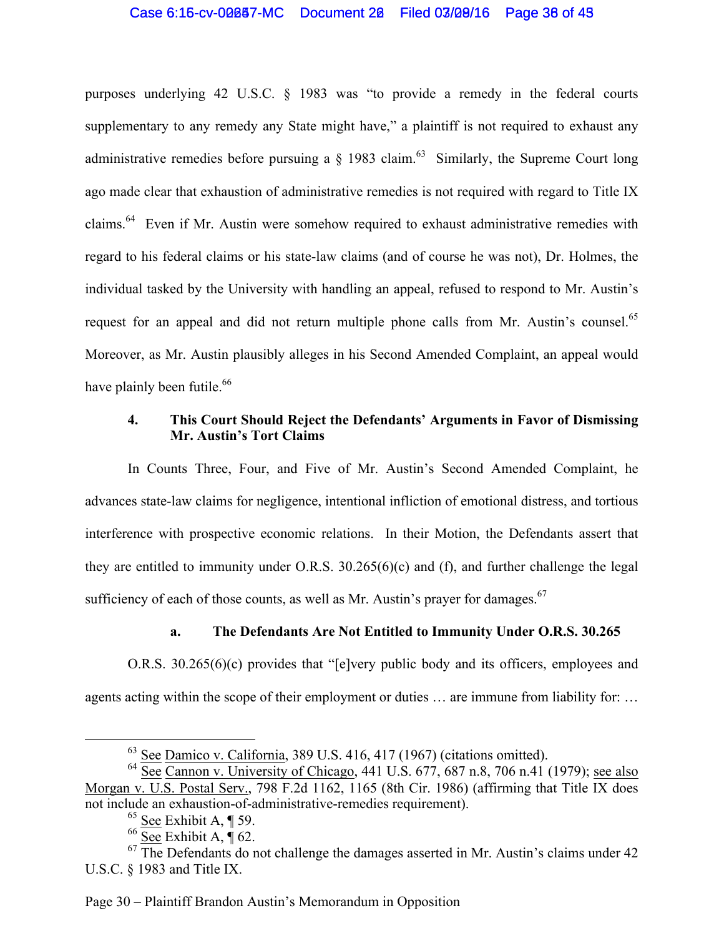## Case 6:15-cv-00087-MC Document 20 Filed 03/08/16 Page 38 of 49

purposes underlying 42 U.S.C. § 1983 was "to provide a remedy in the federal courts supplementary to any remedy any State might have," a plaintiff is not required to exhaust any administrative remedies before pursuing a  $\S$  1983 claim.<sup>63</sup> Similarly, the Supreme Court long ago made clear that exhaustion of administrative remedies is not required with regard to Title IX claims.<sup>64</sup> Even if Mr. Austin were somehow required to exhaust administrative remedies with regard to his federal claims or his state-law claims (and of course he was not), Dr. Holmes, the individual tasked by the University with handling an appeal, refused to respond to Mr. Austin's request for an appeal and did not return multiple phone calls from Mr. Austin's counsel.<sup>65</sup> Moreover, as Mr. Austin plausibly alleges in his Second Amended Complaint, an appeal would have plainly been futile.<sup>66</sup>

## **4. This Court Should Reject the Defendants' Arguments in Favor of Dismissing Mr. Austin's Tort Claims**

In Counts Three, Four, and Five of Mr. Austin's Second Amended Complaint, he advances state-law claims for negligence, intentional infliction of emotional distress, and tortious interference with prospective economic relations. In their Motion, the Defendants assert that they are entitled to immunity under O.R.S. 30.265(6)(c) and (f), and further challenge the legal sufficiency of each of those counts, as well as Mr. Austin's prayer for damages.  $67$ 

### **a. The Defendants Are Not Entitled to Immunity Under O.R.S. 30.265**

O.R.S. 30.265(6)(c) provides that "[e]very public body and its officers, employees and agents acting within the scope of their employment or duties … are immune from liability for: …

Page 30 – Plaintiff Brandon Austin's Memorandum in Opposition

 $63$  See Damico v. California, 389 U.S. 416, 417 (1967) (citations omitted).

<sup>&</sup>lt;sup>64</sup> See Cannon v. University of Chicago, 441 U.S. 677, 687 n.8, 706 n.41 (1979); <u>see also</u> Morgan v. U.S. Postal Serv., 798 F.2d 1162, 1165 (8th Cir. 1986) (affirming that Title IX does not include an exhaustion-of-administrative-remedies requirement).

 $65$  See Exhibit A, ¶ 59.

 $66 \overline{\text{See}}$  Exhibit A,  $\overline{\P}$  62.

 $67$  The Defendants do not challenge the damages asserted in Mr. Austin's claims under 42 U.S.C. § 1983 and Title IX.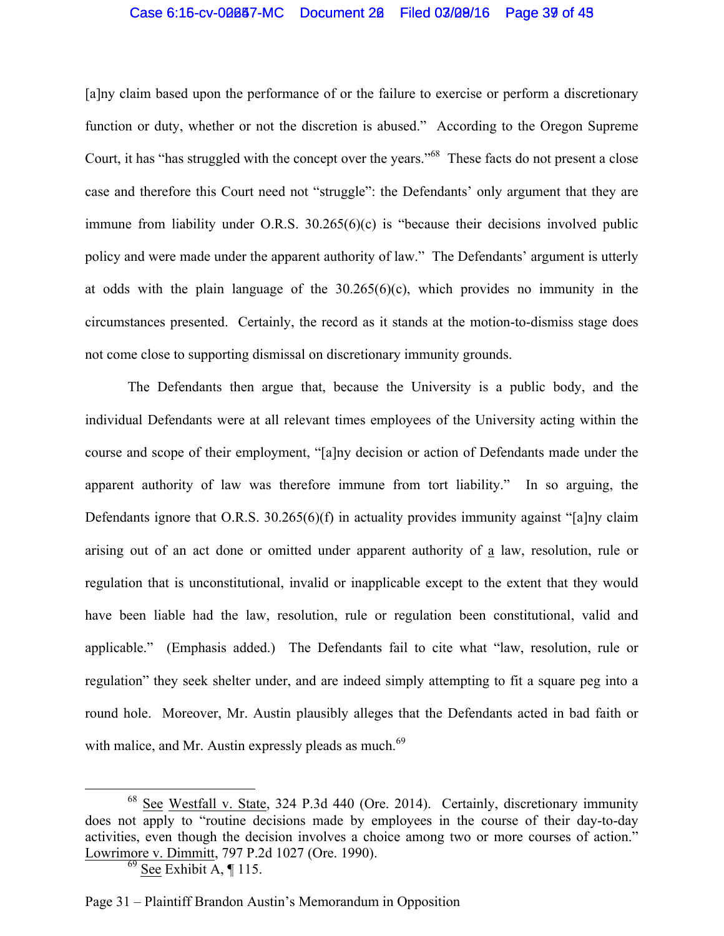## Case 6:15-cv-00087-MC Document 20 Filed 03/09/16 Page 39 of 43

[a]ny claim based upon the performance of or the failure to exercise or perform a discretionary function or duty, whether or not the discretion is abused." According to the Oregon Supreme Court, it has "has struggled with the concept over the years."<sup>68</sup> These facts do not present a close case and therefore this Court need not "struggle": the Defendants' only argument that they are immune from liability under O.R.S. 30.265(6)(c) is "because their decisions involved public policy and were made under the apparent authority of law." The Defendants' argument is utterly at odds with the plain language of the  $30.265(6)(c)$ , which provides no immunity in the circumstances presented. Certainly, the record as it stands at the motion-to-dismiss stage does not come close to supporting dismissal on discretionary immunity grounds.

The Defendants then argue that, because the University is a public body, and the individual Defendants were at all relevant times employees of the University acting within the course and scope of their employment, "[a]ny decision or action of Defendants made under the apparent authority of law was therefore immune from tort liability." In so arguing, the Defendants ignore that O.R.S. 30.265(6)(f) in actuality provides immunity against "[a]ny claim arising out of an act done or omitted under apparent authority of a law, resolution, rule or regulation that is unconstitutional, invalid or inapplicable except to the extent that they would have been liable had the law, resolution, rule or regulation been constitutional, valid and applicable." (Emphasis added.) The Defendants fail to cite what "law, resolution, rule or regulation" they seek shelter under, and are indeed simply attempting to fit a square peg into a round hole. Moreover, Mr. Austin plausibly alleges that the Defendants acted in bad faith or with malice, and Mr. Austin expressly pleads as much.<sup>69</sup>

 <sup>68</sup> See Westfall v. State, 324 P.3d 440 (Ore. 2014). Certainly, discretionary immunity does not apply to "routine decisions made by employees in the course of their day-to-day activities, even though the decision involves a choice among two or more courses of action." Lowrimore v. Dimmitt, 797 P.2d 1027 (Ore. 1990).

 $69$  See Exhibit A, ¶ 115.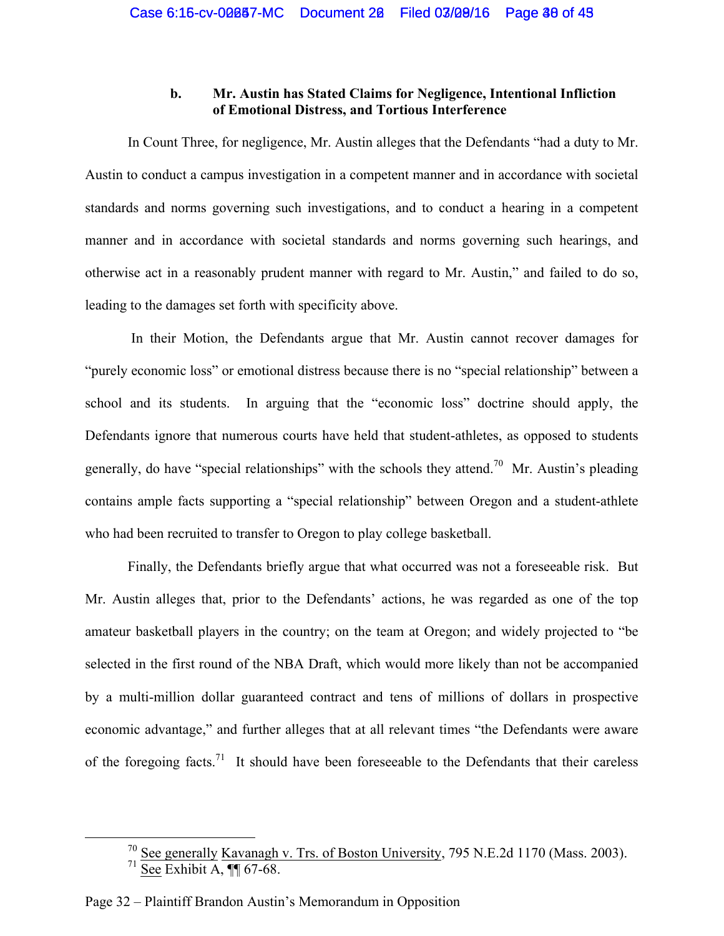## **b. Mr. Austin has Stated Claims for Negligence, Intentional Infliction of Emotional Distress, and Tortious Interference**

In Count Three, for negligence, Mr. Austin alleges that the Defendants "had a duty to Mr. Austin to conduct a campus investigation in a competent manner and in accordance with societal standards and norms governing such investigations, and to conduct a hearing in a competent manner and in accordance with societal standards and norms governing such hearings, and otherwise act in a reasonably prudent manner with regard to Mr. Austin," and failed to do so, leading to the damages set forth with specificity above.

In their Motion, the Defendants argue that Mr. Austin cannot recover damages for "purely economic loss" or emotional distress because there is no "special relationship" between a school and its students. In arguing that the "economic loss" doctrine should apply, the Defendants ignore that numerous courts have held that student-athletes, as opposed to students generally, do have "special relationships" with the schools they attend.<sup>70</sup> Mr. Austin's pleading contains ample facts supporting a "special relationship" between Oregon and a student-athlete who had been recruited to transfer to Oregon to play college basketball.

Finally, the Defendants briefly argue that what occurred was not a foreseeable risk. But Mr. Austin alleges that, prior to the Defendants' actions, he was regarded as one of the top amateur basketball players in the country; on the team at Oregon; and widely projected to "be selected in the first round of the NBA Draft, which would more likely than not be accompanied by a multi-million dollar guaranteed contract and tens of millions of dollars in prospective economic advantage," and further alleges that at all relevant times "the Defendants were aware of the foregoing facts.<sup>71</sup> It should have been foreseeable to the Defendants that their careless

<sup>&</sup>lt;sup>70</sup> See generally Kavanagh v. Trs. of Boston University, 795 N.E.2d 1170 (Mass. 2003).

 $71$  See Exhibit A,  $\P\P$  67-68.

Page 32 – Plaintiff Brandon Austin's Memorandum in Opposition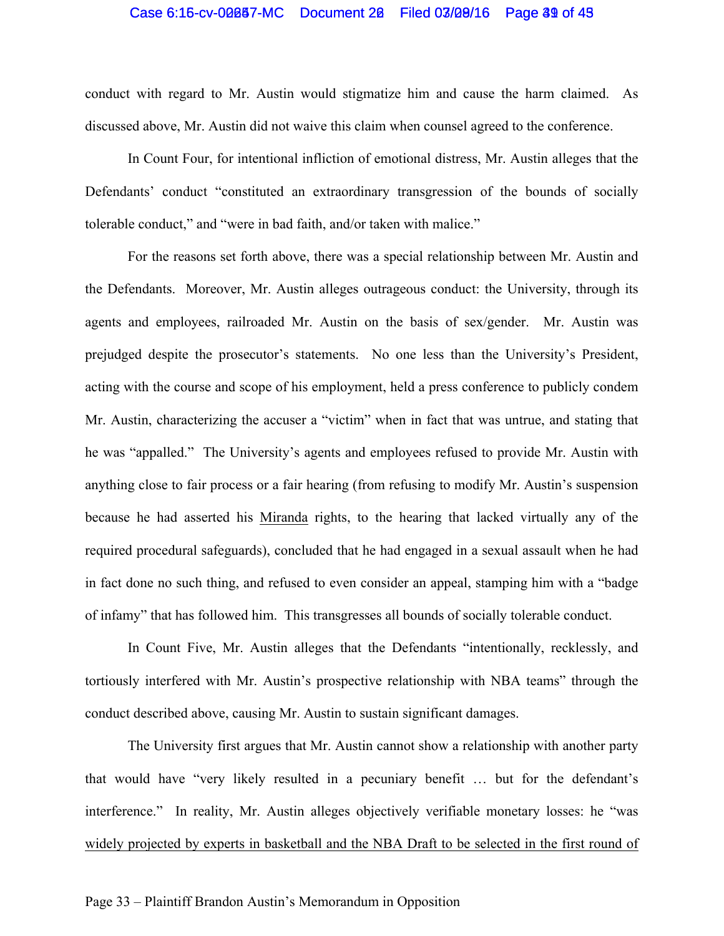### Case 6:15-cv-00087-MC Document 20 Filed 03/09/16 Page 39 of 45

conduct with regard to Mr. Austin would stigmatize him and cause the harm claimed. As discussed above, Mr. Austin did not waive this claim when counsel agreed to the conference.

In Count Four, for intentional infliction of emotional distress, Mr. Austin alleges that the Defendants' conduct "constituted an extraordinary transgression of the bounds of socially tolerable conduct," and "were in bad faith, and/or taken with malice."

For the reasons set forth above, there was a special relationship between Mr. Austin and the Defendants. Moreover, Mr. Austin alleges outrageous conduct: the University, through its agents and employees, railroaded Mr. Austin on the basis of sex/gender. Mr. Austin was prejudged despite the prosecutor's statements. No one less than the University's President, acting with the course and scope of his employment, held a press conference to publicly condem Mr. Austin, characterizing the accuser a "victim" when in fact that was untrue, and stating that he was "appalled." The University's agents and employees refused to provide Mr. Austin with anything close to fair process or a fair hearing (from refusing to modify Mr. Austin's suspension because he had asserted his Miranda rights, to the hearing that lacked virtually any of the required procedural safeguards), concluded that he had engaged in a sexual assault when he had in fact done no such thing, and refused to even consider an appeal, stamping him with a "badge of infamy" that has followed him. This transgresses all bounds of socially tolerable conduct.

In Count Five, Mr. Austin alleges that the Defendants "intentionally, recklessly, and tortiously interfered with Mr. Austin's prospective relationship with NBA teams" through the conduct described above, causing Mr. Austin to sustain significant damages.

The University first argues that Mr. Austin cannot show a relationship with another party that would have "very likely resulted in a pecuniary benefit … but for the defendant's interference." In reality, Mr. Austin alleges objectively verifiable monetary losses: he "was widely projected by experts in basketball and the NBA Draft to be selected in the first round of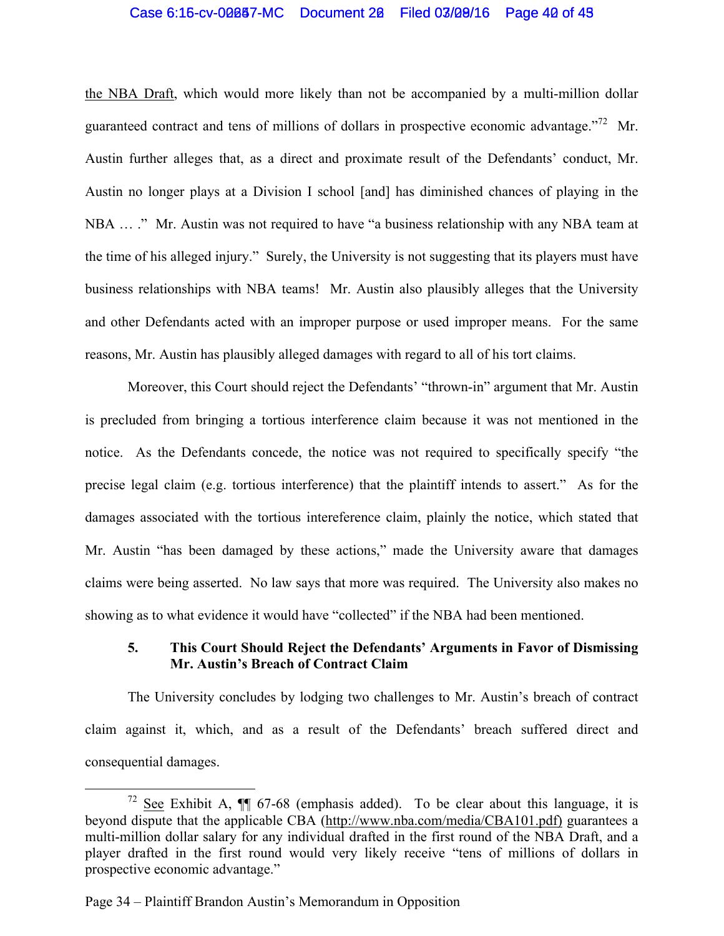## Case 6:15-cv-00087-MC Document 20 Filed 03/09/16 Page 40 of 43

the NBA Draft, which would more likely than not be accompanied by a multi-million dollar guaranteed contract and tens of millions of dollars in prospective economic advantage.<sup> $72$ </sup> Mr. Austin further alleges that, as a direct and proximate result of the Defendants' conduct, Mr. Austin no longer plays at a Division I school [and] has diminished chances of playing in the NBA … ." Mr. Austin was not required to have "a business relationship with any NBA team at the time of his alleged injury." Surely, the University is not suggesting that its players must have business relationships with NBA teams! Mr. Austin also plausibly alleges that the University and other Defendants acted with an improper purpose or used improper means. For the same reasons, Mr. Austin has plausibly alleged damages with regard to all of his tort claims.

Moreover, this Court should reject the Defendants' "thrown-in" argument that Mr. Austin is precluded from bringing a tortious interference claim because it was not mentioned in the notice. As the Defendants concede, the notice was not required to specifically specify "the precise legal claim (e.g. tortious interference) that the plaintiff intends to assert." As for the damages associated with the tortious intereference claim, plainly the notice, which stated that Mr. Austin "has been damaged by these actions," made the University aware that damages claims were being asserted. No law says that more was required. The University also makes no showing as to what evidence it would have "collected" if the NBA had been mentioned.

## **5. This Court Should Reject the Defendants' Arguments in Favor of Dismissing Mr. Austin's Breach of Contract Claim**

The University concludes by lodging two challenges to Mr. Austin's breach of contract claim against it, which, and as a result of the Defendants' breach suffered direct and consequential damages.

 $72$  See Exhibit A,  $\P$  67-68 (emphasis added). To be clear about this language, it is beyond dispute that the applicable CBA (http://www.nba.com/media/CBA101.pdf) guarantees a multi-million dollar salary for any individual drafted in the first round of the NBA Draft, and a player drafted in the first round would very likely receive "tens of millions of dollars in prospective economic advantage."

Page 34 – Plaintiff Brandon Austin's Memorandum in Opposition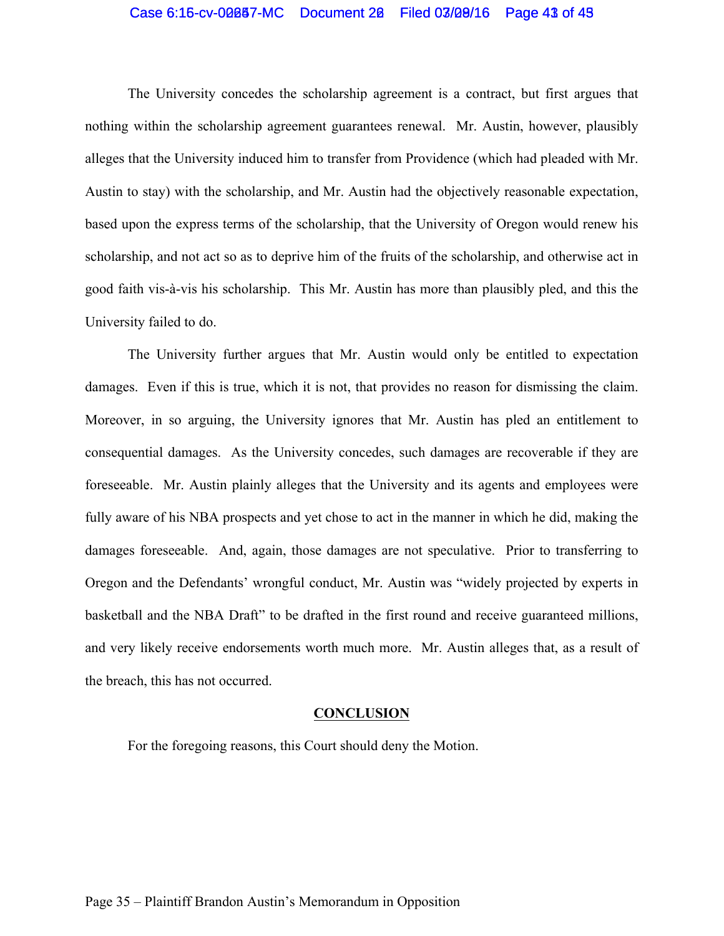## Case 6:15-cv-00087-MC Document 20 Filed 03/09/16 Page 43 of 45

The University concedes the scholarship agreement is a contract, but first argues that nothing within the scholarship agreement guarantees renewal. Mr. Austin, however, plausibly alleges that the University induced him to transfer from Providence (which had pleaded with Mr. Austin to stay) with the scholarship, and Mr. Austin had the objectively reasonable expectation, based upon the express terms of the scholarship, that the University of Oregon would renew his scholarship, and not act so as to deprive him of the fruits of the scholarship, and otherwise act in good faith vis-à-vis his scholarship. This Mr. Austin has more than plausibly pled, and this the University failed to do.

The University further argues that Mr. Austin would only be entitled to expectation damages. Even if this is true, which it is not, that provides no reason for dismissing the claim. Moreover, in so arguing, the University ignores that Mr. Austin has pled an entitlement to consequential damages. As the University concedes, such damages are recoverable if they are foreseeable. Mr. Austin plainly alleges that the University and its agents and employees were fully aware of his NBA prospects and yet chose to act in the manner in which he did, making the damages foreseeable. And, again, those damages are not speculative. Prior to transferring to Oregon and the Defendants' wrongful conduct, Mr. Austin was "widely projected by experts in basketball and the NBA Draft" to be drafted in the first round and receive guaranteed millions, and very likely receive endorsements worth much more. Mr. Austin alleges that, as a result of the breach, this has not occurred.

#### **CONCLUSION**

For the foregoing reasons, this Court should deny the Motion.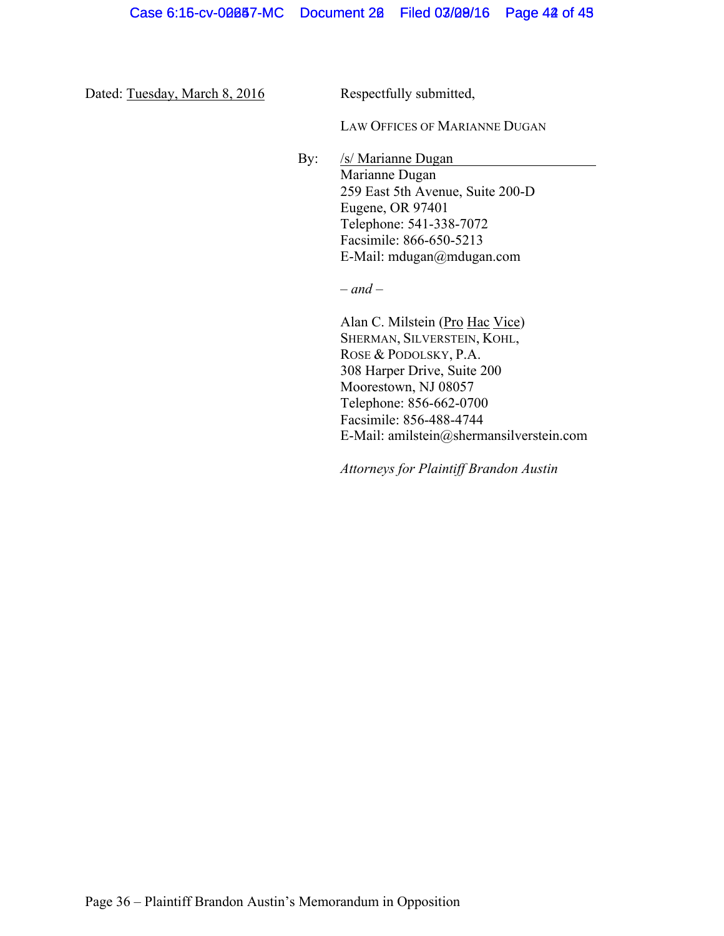Dated: Tuesday, March 8, 2016 Respectfully submitted,

LAW OFFICES OF MARIANNE DUGAN

By: /s/ Marianne Dugan Marianne Dugan 259 East 5th Avenue, Suite 200-D Eugene, OR 97401 Telephone: 541-338-7072 Facsimile: 866-650-5213 E-Mail: mdugan@mdugan.com

– *and* –

Alan C. Milstein (Pro Hac Vice) SHERMAN, SILVERSTEIN, KOHL, ROSE & PODOLSKY, P.A. 308 Harper Drive, Suite 200 Moorestown, NJ 08057 Telephone: 856-662-0700 Facsimile: 856-488-4744 E-Mail: amilstein@shermansilverstein.com

*Attorneys for Plaintiff Brandon Austin*